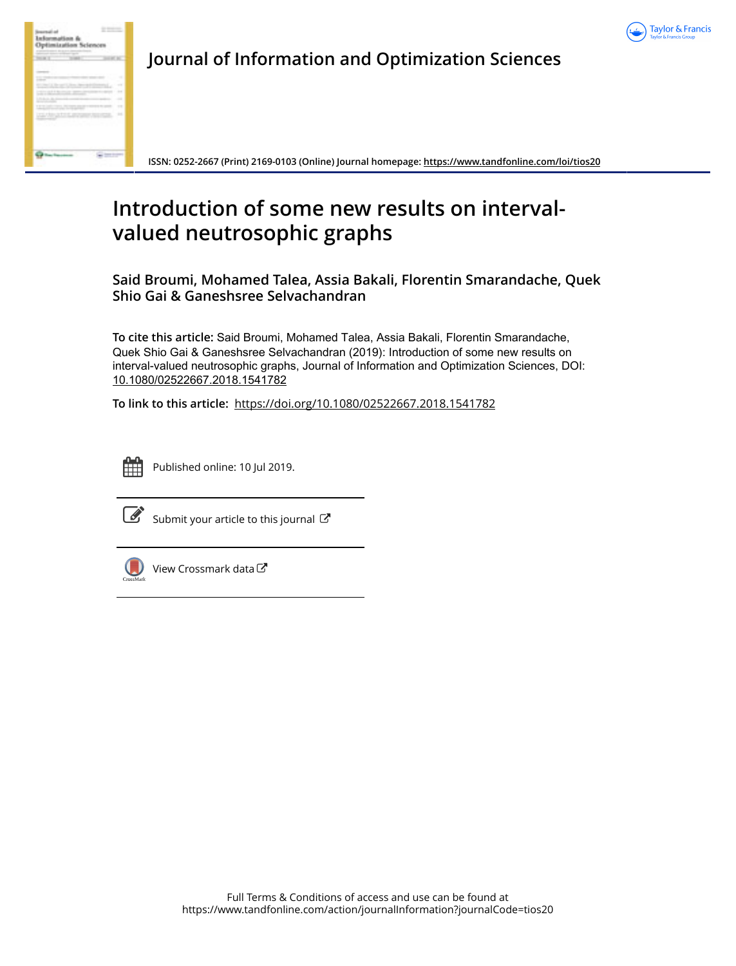



**Journal of Information and Optimization Sciences**

**ISSN: 0252-2667 (Print) 2169-0103 (Online) Journal homepage:<https://www.tandfonline.com/loi/tios20>**

# **Introduction of some new results on intervalvalued neutrosophic graphs**

**Said Broumi, Mohamed Talea, Assia Bakali, Florentin Smarandache, Quek Shio Gai & Ganeshsree Selvachandran**

**To cite this article:** Said Broumi, Mohamed Talea, Assia Bakali, Florentin Smarandache, Quek Shio Gai & Ganeshsree Selvachandran (2019): Introduction of some new results on interval-valued neutrosophic graphs, Journal of Information and Optimization Sciences, DOI: [10.1080/02522667.2018.1541782](https://www.tandfonline.com/action/showCitFormats?doi=10.1080/02522667.2018.1541782)

**To link to this article:** <https://doi.org/10.1080/02522667.2018.1541782>



Published online: 10 Jul 2019.



 $\overline{\mathscr{L}}$  [Submit your article to this journal](https://www.tandfonline.com/action/authorSubmission?journalCode=tios20&show=instructions)  $\mathbb{Z}$ 



[View Crossmark data](http://crossmark.crossref.org/dialog/?doi=10.1080/02522667.2018.1541782&domain=pdf&date_stamp=2019-07-10)<sup>C</sup>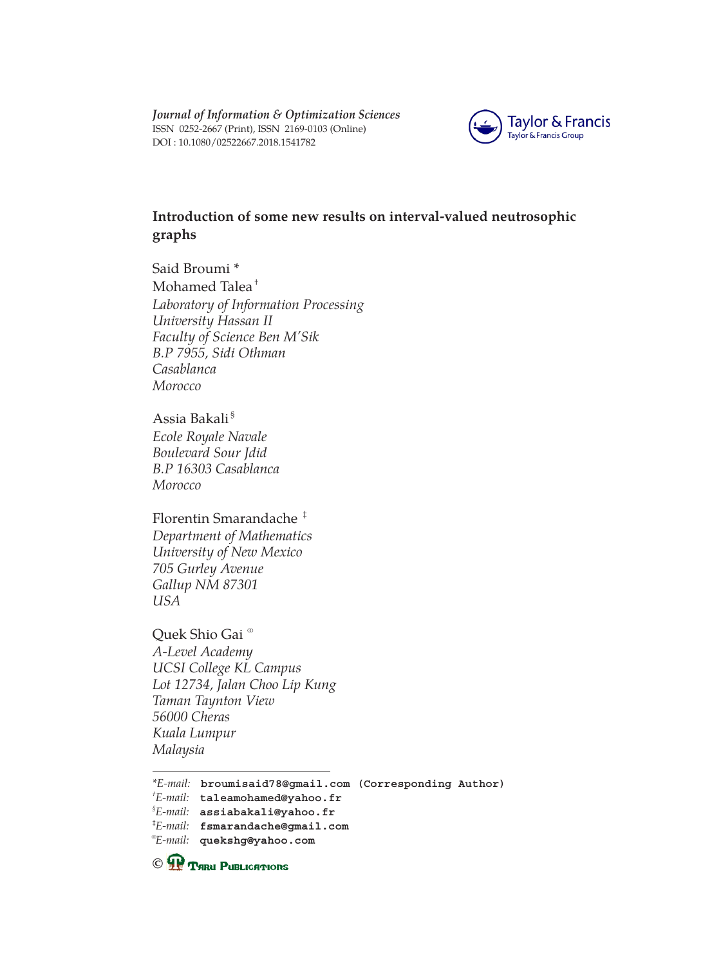*Journal of Information & Optimization Sciences* ISSN 0252-2667 (Print), ISSN 2169-0103 (Online) DOI : [10.1080/02522667.2018.1541782](dx.doi.org/10.1080/02522667.2018.1541782)



# **Introduction of some new results on interval-valued neutrosophic graphs**

Said Broumi \* Mohamed Talea† *Laboratory of Information Processing University Hassan II Faculty of Science Ben M'Sik B.P 7955, Sidi Othman Casablanca Morocco*

Assia Bakali § *Ecole Royale Navale Boulevard Sour Jdid B.P 16303 Casablanca Morocco*

Florentin Smarandache ‡ *Department of Mathematics University of New Mexico 705 Gurley Avenue Gallup NM 87301 USA*

Quek Shio Gai ® *A-Level Academy UCSI College KL Campus Lot 12734, Jalan Choo Lip Kung Taman Taynton View 56000 Cheras Kuala Lumpur Malaysia*

**C P** THRU PUBLICATIONS

*<sup>\*</sup>E-mail:*  **broumisaid78@gmail.com (Corresponding Author)**

*<sup>†</sup> E-mail:*  **[taleamohamed@yahoo.fr](mailto:taleamohamed@yahoo.fr)**

*<sup>§</sup> E-mail:*  **[assiabakali@yahoo.fr](mailto:assiabakali@yahoo.fr)**

<sup>‡</sup> *E-mail:*  **[fsmarandache@gmail.com](mailto:fsmarandache@gmail.com)**

<sup>⚭</sup> *E-mail:*  **quekshg@yahoo.com**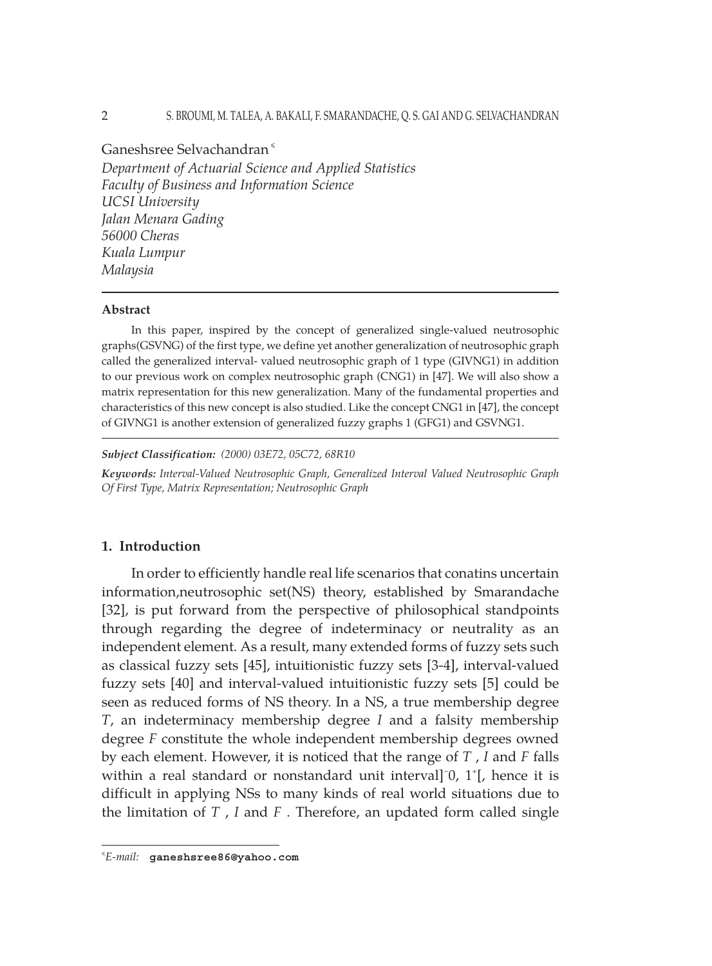#### 2 S. BROUMI, M. TALEA, A. BAKALI, F. SMARANDACHE, Q. S. GAI AND G. SELVACHANDRAN

Ganeshsree Selvachandran<sup>«</sup>

*Department of Actuarial Science and Applied Statistics Faculty of Business and Information Science UCSI University Jalan Menara Gading 56000 Cheras Kuala Lumpur Malaysia*

#### **Abstract**

In this paper, inspired by the concept of generalized single-valued neutrosophic graphs(GSVNG) of the first type, we define yet another generalization of neutrosophic graph called the generalized interval- valued neutrosophic graph of 1 type (GIVNG1) in addition to our previous work on complex neutrosophic graph (CNG1) in [47]. We will also show a matrix representation for this new generalization. Many of the fundamental properties and characteristics of this new concept is also studied. Like the concept CNG1 in [47], the concept of GIVNG1 is another extension of generalized fuzzy graphs 1 (GFG1) and GSVNG1.

*Subject Classification: (2000) 03E72, 05C72, 68R10*

*Keywords: Interval-Valued Neutrosophic Graph, Generalized Interval Valued Neutrosophic Graph Of First Type, Matrix Representation; Neutrosophic Graph*

## **1. Introduction**

In order to efficiently handle real life scenarios that conatins uncertain information,neutrosophic set(NS) theory, established by Smarandache [32], is put forward from the perspective of philosophical standpoints through regarding the degree of indeterminacy or neutrality as an independent element. As a result, many extended forms of fuzzy sets such as classical fuzzy sets [45], intuitionistic fuzzy sets [3-4], interval-valued fuzzy sets [40] and interval-valued intuitionistic fuzzy sets [5] could be seen as reduced forms of NS theory. In a NS, a true membership degree *T*, an indeterminacy membership degree *I* and a falsity membership degree *F* constitute the whole independent membership degrees owned by each element. However, it is noticed that the range of *T* , *I* and *F* falls within a real standard or nonstandard unit interval]<sup>-</sup>0, 1<sup>+</sup>[, hence it is difficult in applying NSs to many kinds of real world situations due to the limitation of *T* , *I* and *F* . Therefore, an updated form called single

<sup>⩽</sup> *E-mail:*  **ganeshsree86@yahoo.com**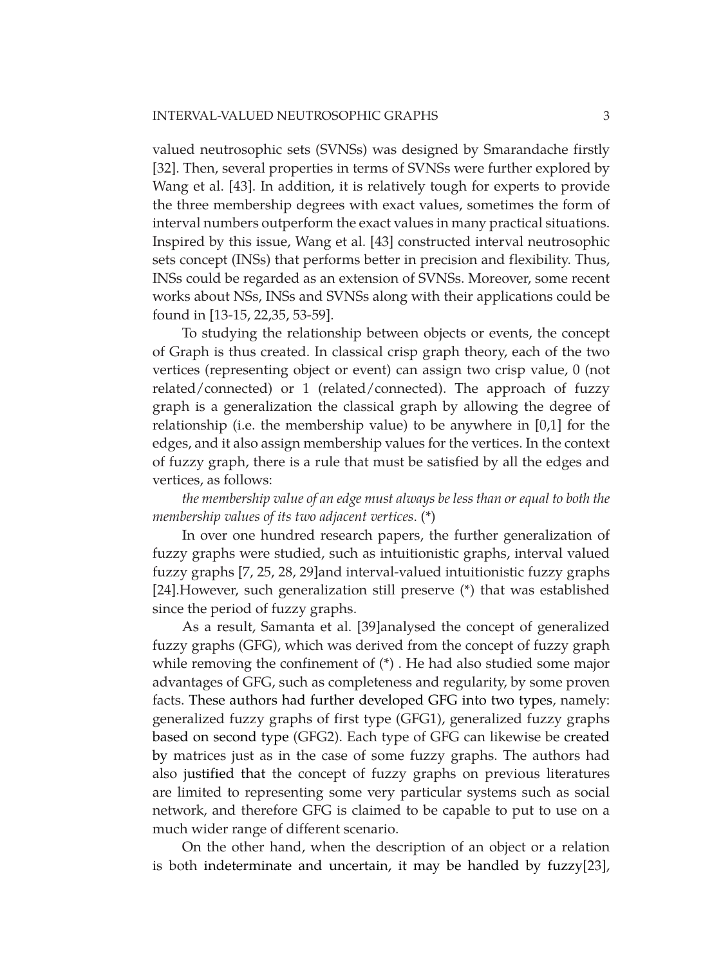valued neutrosophic sets (SVNSs) was designed by Smarandache firstly [32]. Then, several properties in terms of SVNSs were further explored by Wang et al. [43]. In addition, it is relatively tough for experts to provide the three membership degrees with exact values, sometimes the form of interval numbers outperform the exact values in many practical situations. Inspired by this issue, Wang et al. [43] constructed interval neutrosophic sets concept (INSs) that performs better in precision and flexibility. Thus, INSs could be regarded as an extension of SVNSs. Moreover, some recent works about NSs, INSs and SVNSs along with their applications could be found in [13-15, 22,35, 53-59].

To studying the relationship between objects or events, the concept of Graph is thus created. In classical crisp graph theory, each of the two vertices (representing object or event) can assign two crisp value, 0 (not related/connected) or 1 (related/connected). The approach of fuzzy graph is a generalization the classical graph by allowing the degree of relationship (i.e. the membership value) to be anywhere in [0,1] for the edges, and it also assign membership values for the vertices. In the context of fuzzy graph, there is a rule that must be satisfied by all the edges and vertices, as follows:

# *the membership value of an edge must always be less than or equal to both the membership values of its two adjacent vertices*. (\*)

In over one hundred research papers, the further generalization of fuzzy graphs were studied, such as intuitionistic graphs, interval valued fuzzy graphs [7, 25, 28, 29]and interval-valued intuitionistic fuzzy graphs [24].However, such generalization still preserve (\*) that was established since the period of fuzzy graphs.

As a result, Samanta et al. [39]analysed the concept of generalized fuzzy graphs (GFG), which was derived from the concept of fuzzy graph while removing the confinement of (\*) . He had also studied some major advantages of GFG, such as completeness and regularity, by some proven facts. These authors had further developed GFG into two types, namely: generalized fuzzy graphs of first type (GFG1), generalized fuzzy graphs based on second type (GFG2). Each type of GFG can likewise be created by matrices just as in the case of some fuzzy graphs. The authors had also justified that the concept of fuzzy graphs on previous literatures are limited to representing some very particular systems such as social network, and therefore GFG is claimed to be capable to put to use on a much wider range of different scenario.

On the other hand, when the description of an object or a relation is both indeterminate and uncertain, it may be handled by fuzzy[23],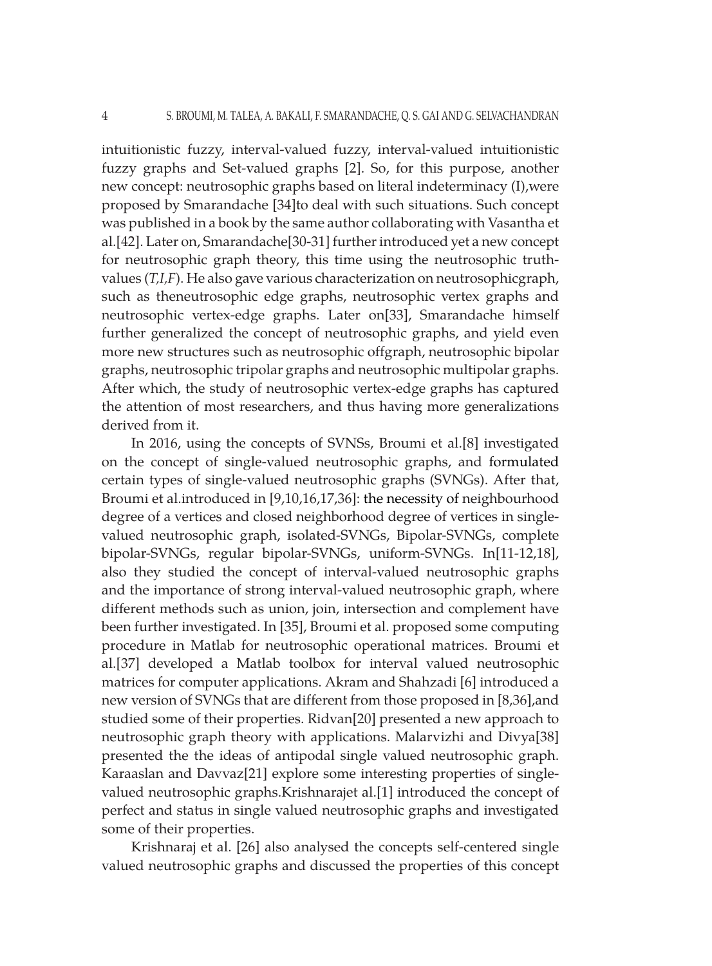intuitionistic fuzzy, interval-valued fuzzy, interval-valued intuitionistic fuzzy graphs and Set-valued graphs [2]. So, for this purpose, another new concept: neutrosophic graphs based on literal indeterminacy (I),were proposed by Smarandache [34]to deal with such situations. Such concept was published in a book by the same author collaborating with Vasantha et al.[42]. Later on, Smarandache[30-31] further introduced yet a new concept for neutrosophic graph theory, this time using the neutrosophic truthvalues (*T,I,F*). He also gave various characterization on neutrosophicgraph, such as theneutrosophic edge graphs, neutrosophic vertex graphs and neutrosophic vertex-edge graphs. Later on[33], Smarandache himself further generalized the concept of neutrosophic graphs, and yield even more new structures such as neutrosophic offgraph, neutrosophic bipolar graphs, neutrosophic tripolar graphs and neutrosophic multipolar graphs. After which, the study of neutrosophic vertex-edge graphs has captured the attention of most researchers, and thus having more generalizations derived from it.

In 2016, using the concepts of SVNSs, Broumi et al.[8] investigated on the concept of single-valued neutrosophic graphs, and formulated certain types of single-valued neutrosophic graphs (SVNGs). After that, Broumi et al.introduced in [9,10,16,17,36]: the necessity of neighbourhood degree of a vertices and closed neighborhood degree of vertices in singlevalued neutrosophic graph, isolated-SVNGs, Bipolar-SVNGs, complete bipolar-SVNGs, regular bipolar-SVNGs, uniform-SVNGs. In[11-12,18], also they studied the concept of interval-valued neutrosophic graphs and the importance of strong interval-valued neutrosophic graph, where different methods such as union, join, intersection and complement have been further investigated. In [35], Broumi et al. proposed some computing procedure in Matlab for neutrosophic operational matrices. Broumi et al.[37] developed a Matlab toolbox for interval valued neutrosophic matrices for computer applications. Akram and Shahzadi [6] introduced a new version of SVNGs that are different from those proposed in [8,36],and studied some of their properties. Ridvan[20] presented a new approach to neutrosophic graph theory with applications. Malarvizhi and Divya[38] presented the the ideas of antipodal single valued neutrosophic graph. Karaaslan and Davvaz[21] explore some interesting properties of singlevalued neutrosophic graphs.Krishnarajet al.[1] introduced the concept of perfect and status in single valued neutrosophic graphs and investigated some of their properties.

Krishnaraj et al. [26] also analysed the concepts self-centered single valued neutrosophic graphs and discussed the properties of this concept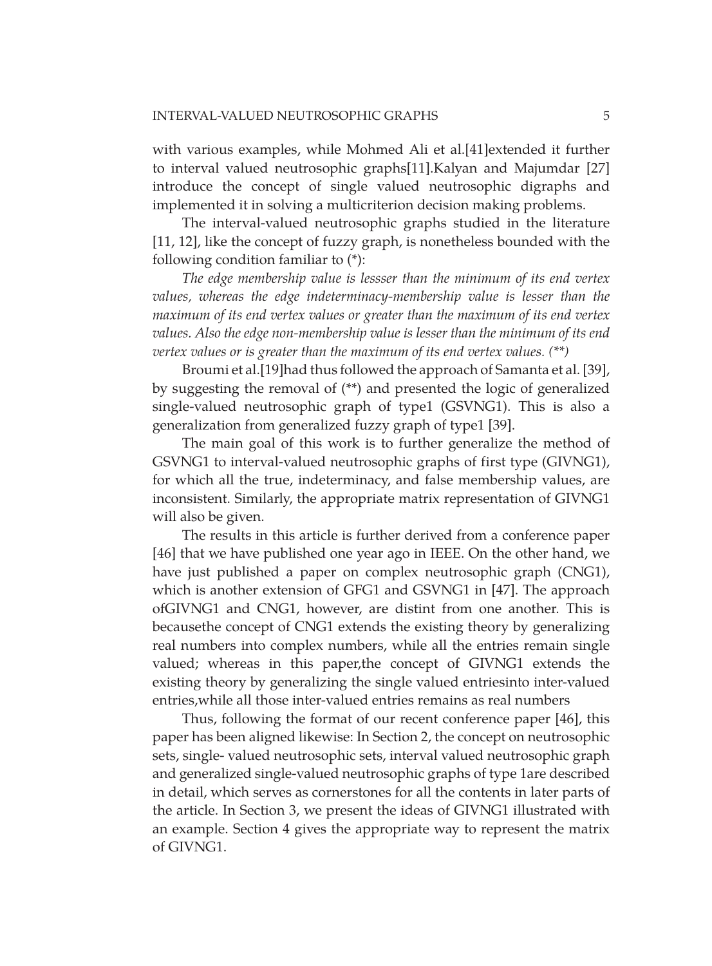with various examples, while Mohmed Ali et al.[41]extended it further to interval valued neutrosophic graphs[11].Kalyan and Majumdar [27] introduce the concept of single valued neutrosophic digraphs and implemented it in solving a multicriterion decision making problems.

The interval-valued neutrosophic graphs studied in the literature [11, 12], like the concept of fuzzy graph, is nonetheless bounded with the following condition familiar to (\*):

*The edge membership value is lessser than the minimum of its end vertex values, whereas the edge indeterminacy-membership value is lesser than the maximum of its end vertex values or greater than the maximum of its end vertex values. Also the edge non-membership value is lesser than the minimum of its end vertex values or is greater than the maximum of its end vertex values. (\*\*)*

Broumi et al.[19]had thus followed the approach of Samanta et al. [39], by suggesting the removal of (\*\*) and presented the logic of generalized single-valued neutrosophic graph of type1 (GSVNG1). This is also a generalization from generalized fuzzy graph of type1 [39].

The main goal of this work is to further generalize the method of GSVNG1 to interval-valued neutrosophic graphs of first type (GIVNG1), for which all the true, indeterminacy, and false membership values, are inconsistent. Similarly, the appropriate matrix representation of GIVNG1 will also be given.

The results in this article is further derived from a conference paper [46] that we have published one year ago in IEEE. On the other hand, we have just published a paper on complex neutrosophic graph (CNG1), which is another extension of GFG1 and GSVNG1 in [47]. The approach ofGIVNG1 and CNG1, however, are distint from one another. This is becausethe concept of CNG1 extends the existing theory by generalizing real numbers into complex numbers, while all the entries remain single valued; whereas in this paper,the concept of GIVNG1 extends the existing theory by generalizing the single valued entriesinto inter-valued entries,while all those inter-valued entries remains as real numbers

Thus, following the format of our recent conference paper [46], this paper has been aligned likewise: In Section 2, the concept on neutrosophic sets, single- valued neutrosophic sets, interval valued neutrosophic graph and generalized single-valued neutrosophic graphs of type 1are described in detail, which serves as cornerstones for all the contents in later parts of the article. In Section 3, we present the ideas of GIVNG1 illustrated with an example. Section 4 gives the appropriate way to represent the matrix of GIVNG1.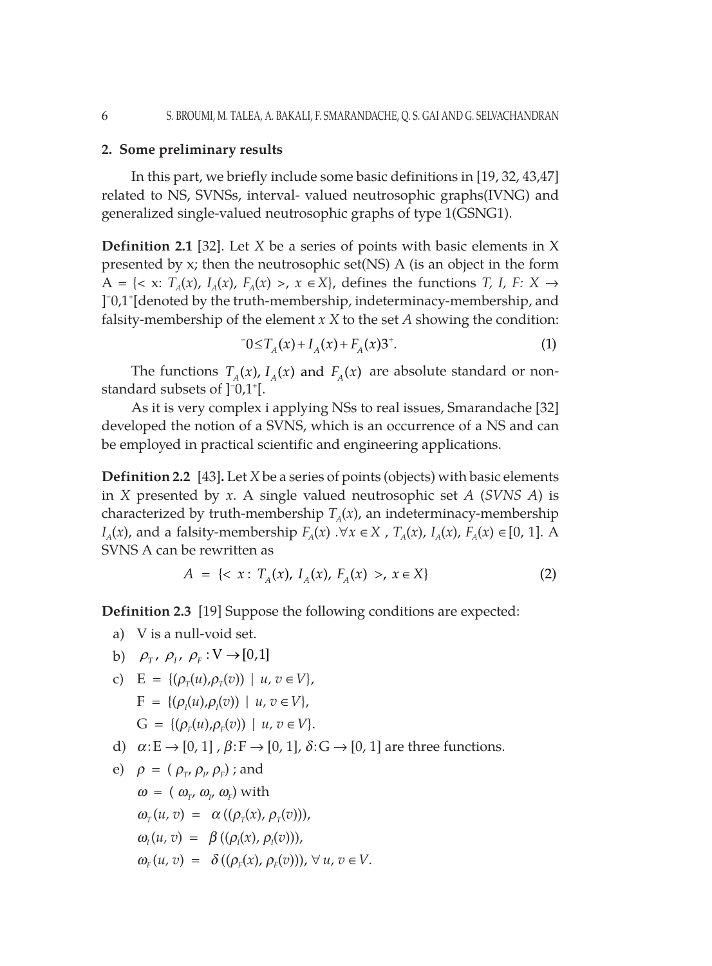# **2. Some preliminary results**

In this part, we briefly include some basic definitions in [19, 32, 43,47] related to NS, SVNSs, interval- valued neutrosophic graphs(IVNG) and generalized single-valued neutrosophic graphs of type 1(GSNG1).

**Definition 2.1** [32]. Let *X* be a series of points with basic elements in X presented by x; then the neutrosophic set(NS) A (is an object in the form A = { $\lt x$ : *T<sub>A</sub>*(*x*), *I<sub>A</sub>*(*x*), *F<sub>A</sub>*(*x*) >, *x*  $\in$  *X*}, defines the functions *T*, *I*, *F*: *X*  $\rightarrow$ ] − 0,1+ [denoted by the truth-membership, indeterminacy-membership, and falsity-membership of the element *x X* to the set *A* showing the condition:

$$
-0 \le T_A(x) + I_A(x) + F_A(x)3^+.
$$
 (1)

The functions  $T_{A}(x)$ ,  $I_{A}(x)$  and  $F_{A}(x)$  are absolute standard or nonstandard subsets of  $]$ <sup>-</sup>0,1<sup>+</sup>[.

As it is very complex i applying NSs to real issues, Smarandache [32] developed the notion of a SVNS, which is an occurrence of a NS and can be employed in practical scientific and engineering applications.

**Definition 2.2** [43]**.** Let *X* be a series of points (objects) with basic elements in *X* presented by *x*. A single valued neutrosophic set *A* (*SVNS A*) is characterized by truth-membership  $T_A(x)$ , an indeterminacy-membership *I<sub>A</sub>*(*x*), and a falsity-membership *F<sub>A</sub>*(*x*) .∀*x* ∈ *X* , *T<sub>A</sub>*(*x*), *I<sub>A</sub>*(*x*), *F<sub>A</sub>*(*x*) ∈ [0, 1]. A SVNS A can be rewritten as

$$
A = \{ \langle x : T_A(x), I_A(x), F_A(x) \rangle, x \in X \}
$$
 (2)

**Definition 2.3** [19] Suppose the following conditions are expected:

- a) V is a null-void set.
- b)  $\rho_{\tau}, \rho_{\tau}, \rho_{\tau} : V \rightarrow [0,1]$
- c)  $E = \{(\rho_\tau(u), \rho_\tau(v)) \mid u, v \in V\},\$  $F = \{(\rho_I(u), \rho_I(v)) \mid u, v \in V\},\$  $G = \{(\rho_F(u), \rho_F(v)) \mid u, v \in V\}.$
- d)  $\alpha$ **·E**  $\rightarrow$  [0, 1],  $\beta$ **·F**  $\rightarrow$  [0, 1],  $\delta$ **·G**  $\rightarrow$  [0, 1] are three functions.
- e)  $\rho = (\rho_{\text{r}}, \rho_{\text{r}}, \rho_{\text{r}})$ ; and  $\omega = (\omega_{\scriptscriptstyle T}, \omega_{\scriptscriptstyle P} \omega_{\scriptscriptstyle F})$  with  $\omega_r(u, v) = \alpha((\rho_r(x), \rho_r(v))),$  $\omega$ <sup>*I*</sup> (*u, v*) =  $\beta$  (( $\rho$ <sup>*I*</sup>(*x*),  $\rho$ <sup>*I*</sup>(*v*))),  $\omega_r(u, v) = \delta((\rho_r(x), \rho_r(v)))$ ,  $\forall u, v \in V$ .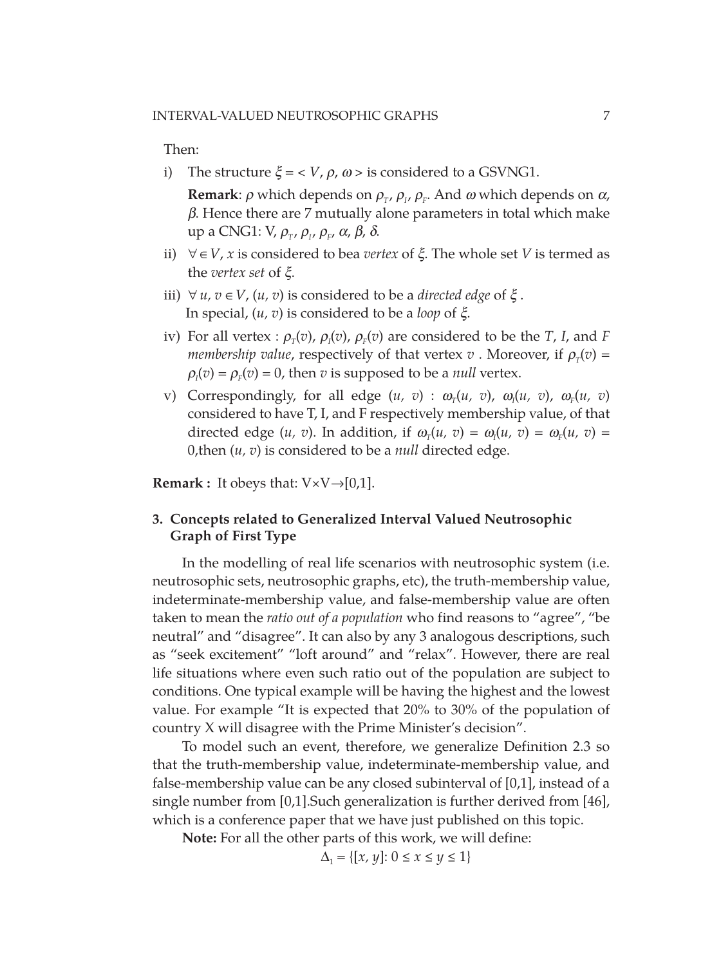Then:

i) The structure  $\xi = \langle V, \rho, \omega \rangle$  is considered to a GSVNG1.

 **Remark**:  $\rho$  which depends on  $\rho_{\tau}$ ,  $\rho_{\tau}$ ,  $\rho_{\tau}$ . And  $\omega$  which depends on  $\alpha$ ,  $\beta$ . Hence there are 7 mutually alone parameters in total which make up a CNG1:  $V, \rho_T, \rho_I, \rho_F, \alpha, \beta, \delta$ .

- ii)  $∀ ∈ V, x$  is considered to bea *vertex* of  $ξ$ . The whole set *V* is termed as the *vertex set* of *ξ*.
- iii) ∀*u*, *v* ∈ *V*, (*u*, *v*) is considered to be a *directed edge* of  $\xi$ . In special,  $(u, v)$  is considered to be a *loop* of  $\xi$ .
- iv) For all vertex :  $\rho_T(v)$ ,  $\rho_I(v)$ ,  $\rho_F(v)$  are considered to be the *T*, *I*, and *F membership value,* respectively of that vertex *v*. Moreover, if  $\rho_{\tau}(v)$  =  $\rho_I(v) = \rho_F(v) = 0$ , then *v* is supposed to be a *null* vertex.
- v) Correspondingly, for all edge  $(u, v)$  :  $\omega_T(u, v)$ ,  $\omega_I(u, v)$ ,  $\omega_F(u, v)$ considered to have T, I, and F respectively membership value, of that directed edge  $(u, v)$ . In addition, if  $\omega_T(u, v) = \omega_I(u, v) = \omega_F(u, v)$ 0,then (*u, v*) is considered to be a *null* directed edge.

**Remark :** It obeys that:  $V \times V \rightarrow [0,1]$ .

# **3. Concepts related to Generalized Interval Valued Neutrosophic Graph of First Type**

In the modelling of real life scenarios with neutrosophic system (i.e. neutrosophic sets, neutrosophic graphs, etc), the truth-membership value, indeterminate-membership value, and false-membership value are often taken to mean the *ratio out of a population* who find reasons to "agree", "be neutral" and "disagree". It can also by any 3 analogous descriptions, such as "seek excitement" "loft around" and "relax". However, there are real life situations where even such ratio out of the population are subject to conditions. One typical example will be having the highest and the lowest value. For example "It is expected that 20% to 30% of the population of country X will disagree with the Prime Minister's decision".

To model such an event, therefore, we generalize Definition 2.3 so that the truth-membership value, indeterminate-membership value, and false-membership value can be any closed subinterval of [0,1], instead of a single number from [0,1].Such generalization is further derived from [46], which is a conference paper that we have just published on this topic.

**Note:** For all the other parts of this work, we will define:

 $\Delta_1 = \{ [x, y] : 0 \le x \le y \le 1 \}$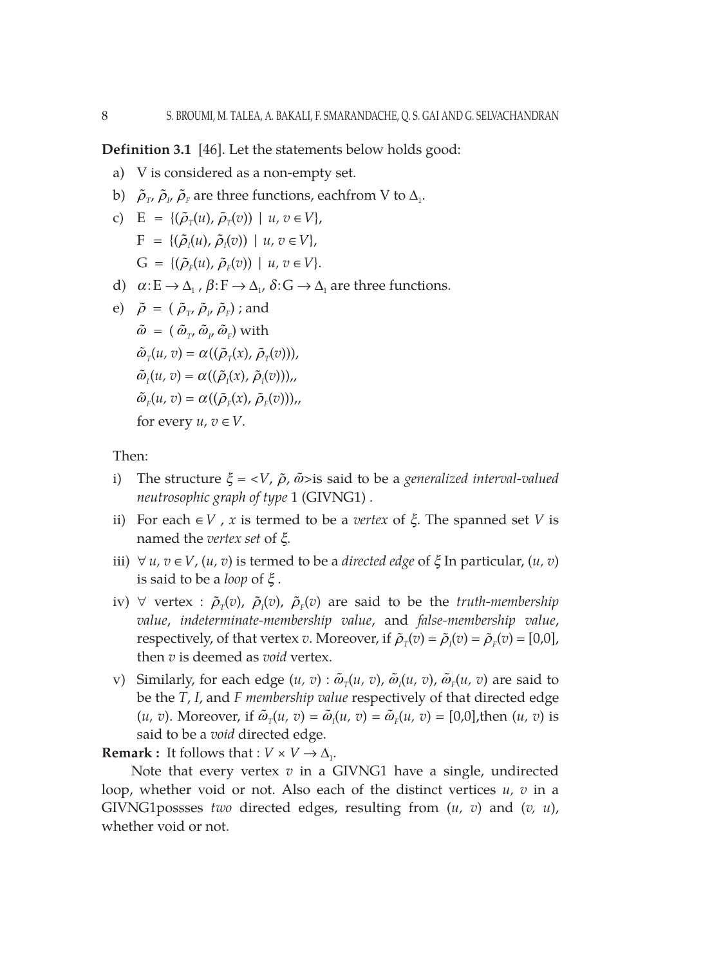**Definition 3.1** [46]. Let the statements below holds good:

- a) V is considered as a non-empty set.
- b)  $\tilde{\rho}_{\scriptscriptstyle T'}\,\tilde{\rho}_{\scriptscriptstyle F}$  are three functions, eachfrom V to  $\Delta_{\scriptscriptstyle \rm I}.$

c) 
$$
E = \{(\tilde{\rho}_T(u), \tilde{\rho}_T(v)) \mid u, v \in V\},
$$

$$
F = \{(\tilde{\rho}_I(u), \tilde{\rho}_I(v)) \mid u, v \in V\},
$$

$$
G = \{(\tilde{\rho}_F(u), \tilde{\rho}_F(v)) \mid u, v \in V\}.
$$

d)  $\alpha: E \to \Delta_1$ ,  $\beta: F \to \Delta_1$ ,  $\delta: G \to \Delta_1$  are three functions.

e) 
$$
\tilde{\rho} = (\tilde{\rho}_{\tau}, \tilde{\rho}_{\mu}, \tilde{\rho}_{F})
$$
; and  
\n $\tilde{\omega} = (\tilde{\omega}_{\tau}, \tilde{\omega}_{\mu}, \tilde{\omega}_{F})$  with  
\n $\tilde{\omega}_{\tau}(u, v) = \alpha((\tilde{\rho}_{\tau}(x), \tilde{\rho}_{\tau}(v))),$   
\n $\tilde{\omega}_{\tau}(u, v) = \alpha((\tilde{\rho}_{\tau}(x), \tilde{\rho}_{\tau}(v))),$   
\n $\tilde{\omega}_{F}(u, v) = \alpha((\tilde{\rho}_{F}(x), \tilde{\rho}_{F}(v))),$   
\nfor every  $u, v \in V$ .

Then:

- i) The structure  $\xi = \langle V, \tilde{\rho}, \tilde{\omega} \rangle$  is said to be a *generalized interval-valued neutrosophic graph of type* 1 (GIVNG1) .
- ii) For each  $\in V$ , *x* is termed to be a *vertex* of  $\xi$ . The spanned set *V* is named the *vertex set* of *x*.
- *iii*) ∀*u*, *v* ∈ *V*, (*u*, *v*) is termed to be a *directed edge* of  $\xi$  In particular, (*u*, *v*) is said to be a *loop* of  $\xi$ .
- iv)  $\forall$  vertex :  $\tilde{\rho}_T(v)$ ,  $\tilde{\rho}_I(v)$ ,  $\tilde{\rho}_F(v)$  are said to be the *truth-membership value*, *indeterminate-membership value*, and *false-membership value*, respectively, of that vertex *v*. Moreover, if  $\tilde{\rho}_T(v) = \tilde{\rho}_I(v) = \tilde{\rho}_F(v) = [0,0],$ then *v* is deemed as *void* vertex.
- v) Similarly, for each edge  $(u, v)$  :  $\tilde{\omega}_T(u, v)$ ,  $\tilde{\omega}_I(u, v)$ ,  $\tilde{\omega}_F(u, v)$  are said to be the *T*, *I*, and *F membership value* respectively of that directed edge  $(u, v)$ . Moreover, if  $\tilde{\omega}_T(u, v) = \tilde{\omega}_I(u, v) = \tilde{\omega}_F(u, v) = [0, 0]$ , then  $(u, v)$  is said to be a *void* directed edge.

**Remark :** It follows that :  $V \times V \rightarrow \Delta_1$ .

Note that every vertex *v* in a GIVNG1 have a single, undirected loop, whether void or not. Also each of the distinct vertices *u, v* in a GIVNG1possses *two* directed edges, resulting from (*u, v*) and (*v, u*), whether void or not.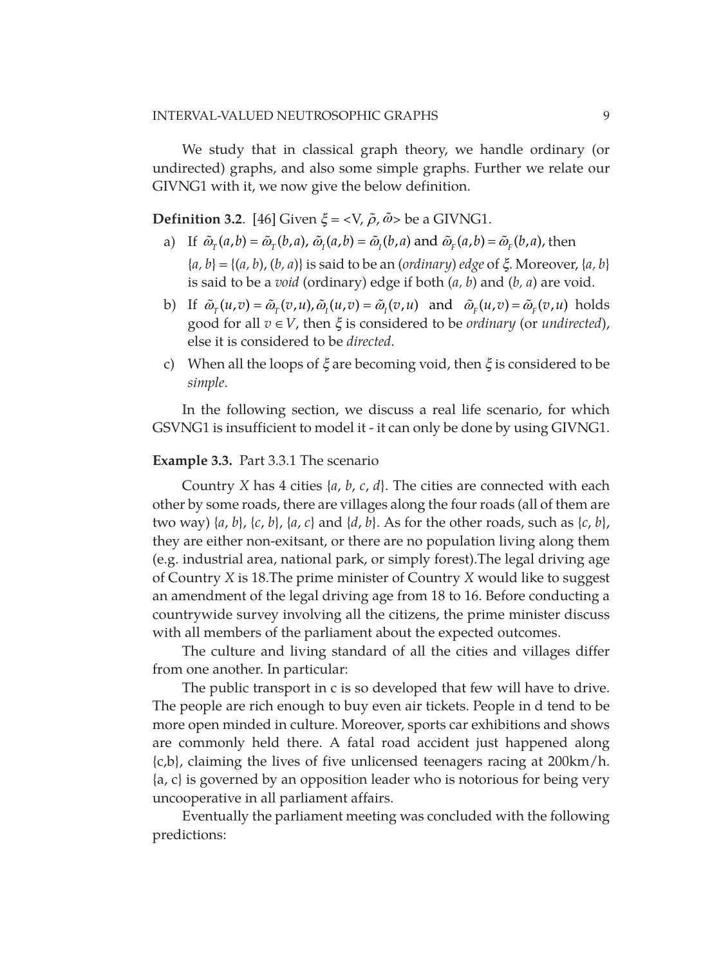We study that in classical graph theory, we handle ordinary (or undirected) graphs, and also some simple graphs. Further we relate our GIVNG1 with it, we now give the below definition.

**Definition 3.2.** [46] Given  $\xi = \langle V, \tilde{\rho}, \tilde{\omega} \rangle$  be a GIVNG1.

- a) If  $\tilde{\omega}_r(a, b) = \tilde{\omega}_r(b, a)$ ,  $\tilde{\omega}_r(a, b) = \tilde{\omega}_r(b, a)$  and  $\tilde{\omega}_r(a, b) = \tilde{\omega}_r(b, a)$ , then  ${a, b} = {(a, b), (b, a)}$  is said to be an (*ordinary*) *edge* of  $\xi$ . Moreover,  ${a, b}$ is said to be a *void* (ordinary) edge if both (*a, b*) and (*b, a*) are void.
- b) If  $\tilde{\omega}_r(u, v) = \tilde{\omega}_r(v, u), \tilde{\omega}_r(u, v) = \tilde{\omega}_r(v, u)$  and  $\tilde{\omega}_r(u, v) = \tilde{\omega}_r(v, u)$  holds good for all  $v \in V$ , then  $\xi$  is considered to be *ordinary* (or *undirected*), else it is considered to be *directed*.
- c) When all the loops of  $\xi$  are becoming void, then  $\xi$  is considered to be *simple*.

In the following section, we discuss a real life scenario, for which GSVNG1 is insufficient to model it - it can only be done by using GIVNG1.

#### **Example 3.3.** Part 3.3.1 The scenario

Country *X* has 4 cities {*a*, *b*, *c*, *d*}. The cities are connected with each other by some roads, there are villages along the four roads (all of them are two way) {*a*, *b*}, {*c*, *b*}, {*a*, *c*} and {*d*, *b*}. As for the other roads, such as {*c*, *b*}, they are either non-exitsant, or there are no population living along them (e.g. industrial area, national park, or simply forest).The legal driving age of Country *X* is 18.The prime minister of Country *X* would like to suggest an amendment of the legal driving age from 18 to 16. Before conducting a countrywide survey involving all the citizens, the prime minister discuss with all members of the parliament about the expected outcomes.

The culture and living standard of all the cities and villages differ from one another. In particular:

The public transport in c is so developed that few will have to drive. The people are rich enough to buy even air tickets. People in d tend to be more open minded in culture. Moreover, sports car exhibitions and shows are commonly held there. A fatal road accident just happened along {c,b}, claiming the lives of five unlicensed teenagers racing at 200km/h.  ${a, c}$  is governed by an opposition leader who is notorious for being very uncooperative in all parliament affairs.

Eventually the parliament meeting was concluded with the following predictions: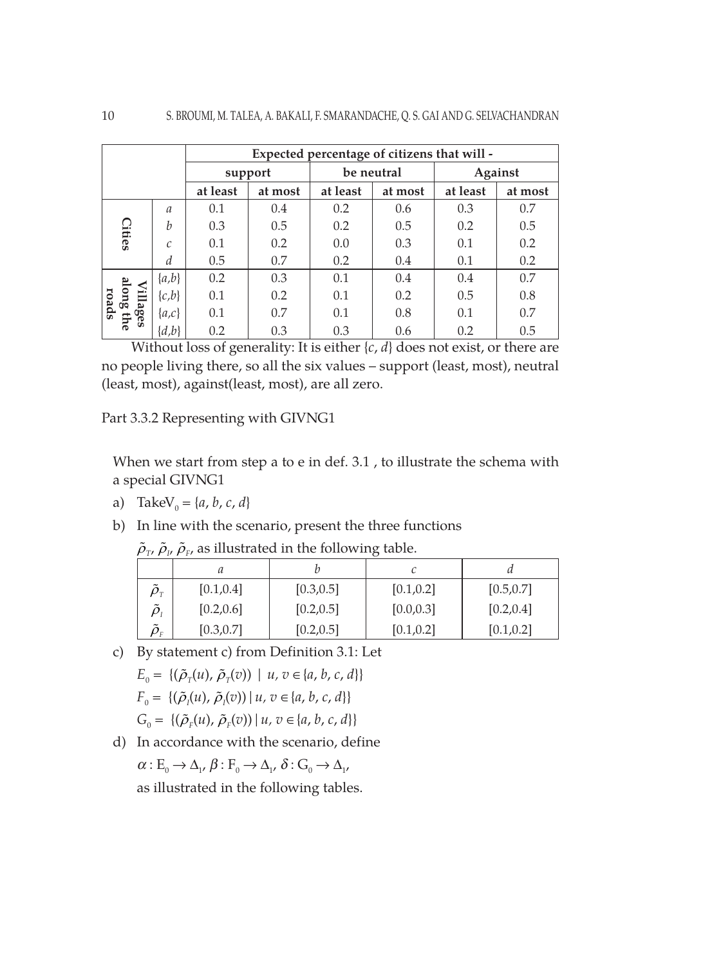|                        |                  | Expected percentage of citizens that will - |         |            |         |          |         |
|------------------------|------------------|---------------------------------------------|---------|------------|---------|----------|---------|
|                        |                  | support                                     |         | be neutral |         | Against  |         |
|                        |                  | at least                                    | at most | at least   | at most | at least | at most |
|                        | $\mathfrak a$    | 0.1                                         | 0.4     | 0.2        | 0.6     | 0.3      | 0.7     |
| <b>Cities</b>          | $\boldsymbol{h}$ | 0.3                                         | 0.5     | 0.2        | 0.5     | 0.2      | 0.5     |
|                        | $\mathcal{C}$    | 0.1                                         | 0.2     | 0.0        | 0.3     | 0.1      | 0.2     |
|                        | d                | 0.5                                         | 0.7     | 0.2        | 0.4     | 0.1      | 0.2     |
| $\prec$                | $\{a,b\}$        | 0.2                                         | 0.3     | 0.1        | 0.4     | 0.4      | 0.7     |
| llong ti<br>roads<br>Ë | $\{c,b\}$        | 0.1                                         | 0.2     | 0.1        | 0.2     | 0.5      | 0.8     |
| lages<br>fhe           | $\{a,c\}$        | 0.1                                         | 0.7     | 0.1        | 0.8     | 0.1      | 0.7     |
|                        | $\{d,b\}$        | 0.2                                         | 0.3     | 0.3        | 0.6     | 0.2      | 0.5     |

Without loss of generality: It is either {*c*, *d*} does not exist, or there are no people living there, so all the six values – support (least, most), neutral (least, most), against(least, most), are all zero.

Part 3.3.2 Representing with GIVNG1

When we start from step a to e in def. 3.1 , to illustrate the schema with a special GIVNG1

- a) TakeV<sub>0</sub> = { $a, b, c, d$ }
- b) In line with the scenario, present the three functions

| $P_{\rm T}$ $P_{\rm T}$ $P_{\rm F}$ as masterated in the following taste. |            |            |            |            |  |  |
|---------------------------------------------------------------------------|------------|------------|------------|------------|--|--|
|                                                                           |            |            |            |            |  |  |
| $\tilde{\rho}_{_{T}}$                                                     | [0.1, 0.4] | [0.3, 0.5] | [0.1, 0.2] | [0.5, 0.7] |  |  |
| $\tilde{o}_{\scriptscriptstyle{I}}$                                       | [0.2, 0.6] | [0.2, 0.5] | [0.0, 0.3] | [0.2, 0.4] |  |  |
| $\tilde{\phantom{a}}$<br>$\rho_{\scriptscriptstyle\rm F}$                 | [0.3, 0.7] | [0.2, 0.5] | [0.1, 0.2] | [0.1, 0.2] |  |  |

- $\tilde{\rho}_{\scriptscriptstyle T'}$   $\tilde{\rho}_{\scriptscriptstyle P}$ ,  $\tilde{\rho}_{\scriptscriptstyle F}$ , as illustrated in the following table.
- c) By statement c) from Definition 3.1: Let  $E_0 = \{(\tilde{\rho}_T(u), \tilde{\rho}_T(v)) \mid u, v \in \{a, b, c, d\}\}\$  $F_0 = \{(\tilde{\rho}_i(u), \tilde{\rho}_i(v)) | u, v \in \{a, b, c, d\}\}\$ 
	- $G_0 = \{(\tilde{\rho}_F(u), \tilde{\rho}_F(v)) | u, v \in \{a, b, c, d\}\}\$
- d) In accordance with the scenario, define  $\alpha: E_{0} \to \Delta_{1}$ ,  $\beta: F_{0} \to \Delta_{1}$ ,  $\delta: G_{0} \to \Delta_{1}$ ,

as illustrated in the following tables.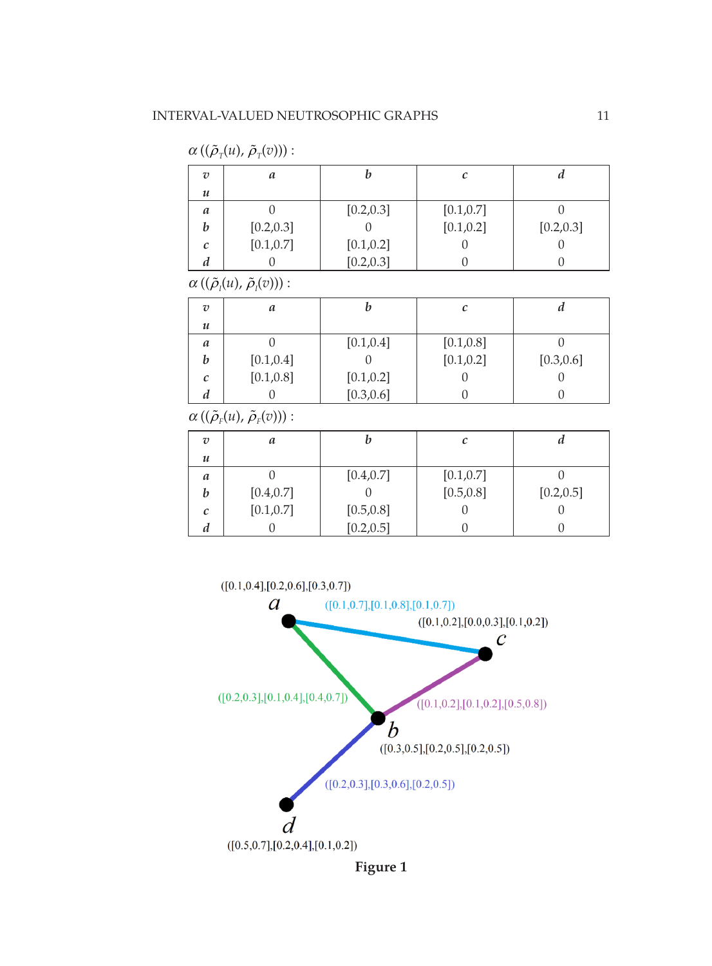

| $\cdots$ ( ) $\cdots$ ) $\cdots$ $\cdots$ $\cdots$ $\cdots$ $\cdots$ |            |            |            |            |  |  |
|----------------------------------------------------------------------|------------|------------|------------|------------|--|--|
| $\overline{v}$                                                       | a          |            | с          | и          |  |  |
| $\boldsymbol{\mathcal{u}}$                                           |            |            |            |            |  |  |
| a                                                                    |            | [0.4, 0.7] | [0.1, 0.7] |            |  |  |
| b                                                                    | [0.4, 0.7] |            | [0.5, 0.8] | [0.2, 0.5] |  |  |
| C                                                                    | [0.1, 0.7] | [0.5, 0.8] |            |            |  |  |
| d                                                                    |            | [0.2, 0.5] |            |            |  |  |

 $\alpha$  (( $\tilde{\rho}_r(u)$ ,  $\tilde{\rho}_r(v)$ )):

| $\overline{v}$   | a          |            |            | и          |
|------------------|------------|------------|------------|------------|
| $\boldsymbol{u}$ |            |            |            |            |
| a                |            | [0.1, 0.4] | [0.1, 0.8] |            |
| b                | [0.1, 0.4] |            | [0.1, 0.2] | [0.3, 0.6] |
| C                | [0.1, 0.8] | [0.1, 0.2] |            | U          |
| a                |            | [0.3, 0.6] |            |            |

 $\alpha\left((\tilde\rho_{_I}\!(u),\,\tilde\rho_{_I}\!(v))\right)$  :

| $\overline{v}$             | a          |            |            | и          |
|----------------------------|------------|------------|------------|------------|
| $\boldsymbol{\mathcal{u}}$ |            |            |            |            |
| a                          |            | [0.2, 0.3] | [0.1, 0.7] |            |
| b                          | [0.2, 0.3] |            | [0.1, 0.2] | [0.2, 0.3] |
| с                          | [0.1, 0.7] | [0.1, 0.2] |            |            |
| a                          |            | [0.2, 0.3] |            |            |

 $\alpha\left((\tilde\rho_{\scriptscriptstyle T}(u),\,\tilde\rho_{\scriptscriptstyle T}(v))\right)$  :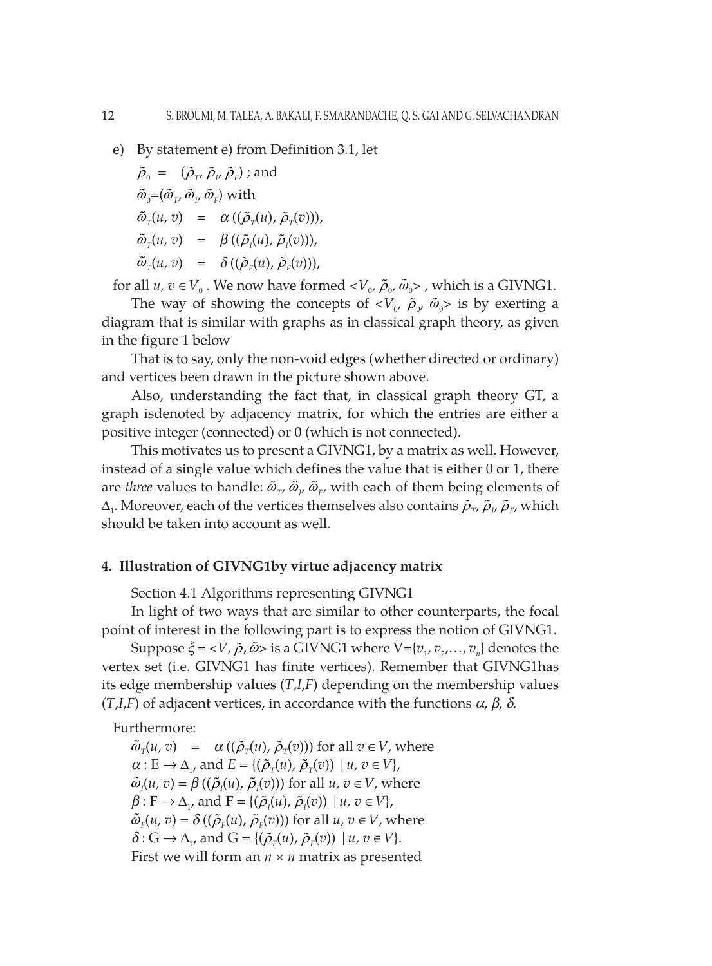e) By statement e) from Definition 3.1, let

$$
\tilde{\rho}_0 = (\tilde{\rho}_{\tau}, \tilde{\rho}_{\mu}, \tilde{\rho}_F) ; \text{and}
$$
  
\n
$$
\tilde{\omega}_0 = (\tilde{\omega}_{\tau}, \tilde{\omega}_{\mu}, \tilde{\omega}_F) \text{ with}
$$
  
\n
$$
\tilde{\omega}_T(u, v) = \alpha ((\tilde{\rho}_T(u), \tilde{\rho}_T(v))),
$$
  
\n
$$
\tilde{\omega}_T(u, v) = \beta ((\tilde{\rho}_I(u), \tilde{\rho}_I(v))),
$$
  
\n
$$
\tilde{\omega}_T(u, v) = \delta ((\tilde{\rho}_F(u), \tilde{\rho}_F(v))),
$$

for all  $u, v \in V_0$ . We now have formed  $\langle V_0, \tilde{\rho}_0, \tilde{\omega}_0 \rangle$ , which is a GIVNG1.

The way of showing the concepts of  $\langle V_{\alpha}, \tilde{\rho}_{\alpha}, \tilde{\omega}_0 \rangle$  is by exerting a diagram that is similar with graphs as in classical graph theory, as given in the figure 1 below

That is to say, only the non-void edges (whether directed or ordinary) and vertices been drawn in the picture shown above.

Also, understanding the fact that, in classical graph theory GT, a graph isdenoted by adjacency matrix, for which the entries are either a positive integer (connected) or 0 (which is not connected).

This motivates us to present a GIVNG1, by a matrix as well. However, instead of a single value which defines the value that is either 0 or 1, there are *three* values to handle:  $\tilde{\omega}_{T}$ ,  $\tilde{\omega}_{P}$ ,  $\tilde{\omega}_{F}$ , with each of them being elements of  $\Delta_1$ . Moreover, each of the vertices themselves also contains  $\tilde{\rho}_{T'}\,\tilde{\rho}_{I'}\,\tilde{\rho}_{F'}$  which should be taken into account as well.

# **4. Illustration of GIVNG1by virtue adjacency matrix**

Section 4.1 Algorithms representing GIVNG1

In light of two ways that are similar to other counterparts, the focal point of interest in the following part is to express the notion of GIVNG1.

Suppose  $\xi = \langle V, \tilde{\rho}, \tilde{\omega} \rangle$  is a GIVNG1 where  $V = \{v_1, v_2, \ldots, v_n\}$  denotes the vertex set (i.e. GIVNG1 has finite vertices). Remember that GIVNG1has its edge membership values (*T*,*I*,*F*) depending on the membership values  $(T,I,F)$  of adjacent vertices, in accordance with the functions  $\alpha$ ,  $\beta$ ,  $\delta$ .

Furthermore:

 $\tilde{\omega}_{\tau}(u, v) = \alpha((\tilde{\rho}_{\tau}(u), \tilde{\rho}_{\tau}(v)))$  for all  $v \in V$ , where  $\alpha: E \to \Delta_{1}$ , and  $E = \{(\tilde{\rho}_{\tau}(u), \tilde{\rho}_{\tau}(v)) | u, v \in V\},\$  $\tilde{\omega}_I(u, v) = \beta((\tilde{\rho}_I(u), \tilde{\rho}_I(v)))$  for all  $u, v \in V$ , where  $\beta: F \to \Delta_{1}$ , and  $F = \{(\tilde{\rho}_i(u), \tilde{\rho}_i(v)) \mid u, v \in V\},\$  $\tilde{\omega}_F(u, v) = \delta((\tilde{\rho}_F(u), \tilde{\rho}_F(v)))$  for all  $u, v \in V$ , where  $\delta$  :  $G \rightarrow \Delta_{\nu}$ , and  $G = \{(\tilde{\rho}_{F}(u), \tilde{\rho}_{F}(v)) \mid u, v \in V\}.$ First we will form an *n × n* matrix as presented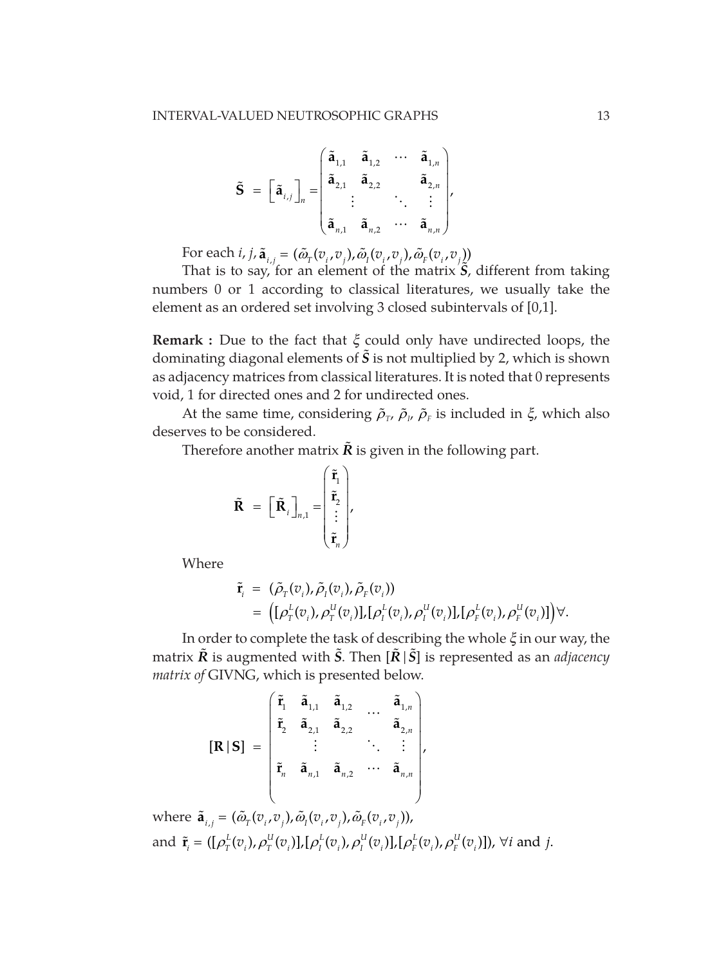$$
\tilde{\mathbf{S}} = \begin{bmatrix} \tilde{\mathbf{a}}_{i,j} \end{bmatrix}_{n} = \begin{bmatrix} \tilde{\mathbf{a}}_{1,1} & \tilde{\mathbf{a}}_{1,2} & \cdots & \tilde{\mathbf{a}}_{1,n} \\ \tilde{\mathbf{a}}_{2,1} & \tilde{\mathbf{a}}_{2,2} & \cdots & \tilde{\mathbf{a}}_{2,n} \\ \vdots & \vdots & \ddots & \vdots \\ \tilde{\mathbf{a}}_{n,1} & \tilde{\mathbf{a}}_{n,2} & \cdots & \tilde{\mathbf{a}}_{n,n} \end{bmatrix},
$$

For each *i*, *j*,  $\tilde{\mathbf{a}}_{i,j} = (\tilde{\omega}_{i}(v_i, v_j), \tilde{\omega}_{i}(v_i, v_j), \tilde{\omega}_{i}(v_i, v_j))$ 

That is to say, for an element of the matrix *S*, different from taking numbers 0 or 1 according to classical literatures, we usually take the element as an ordered set involving 3 closed subintervals of [0,1].

**Remark :** Due to the fact that *x* could only have undirected loops, the dominating diagonal elements of  $\tilde{S}$  is not multiplied by 2, which is shown as adjacency matrices from classical literatures. It is noted that 0 represents void, 1 for directed ones and 2 for undirected ones.

At the same time, considering  $\tilde{\rho}_{\scriptscriptstyle T}$ ,  $\tilde{\rho}_{\scriptscriptstyle \mu}$   $\tilde{\rho}_{\scriptscriptstyle \mu}$  is included in  $\xi$ , which also deserves to be considered.

Therefore another matrix  $\tilde{R}$  is given in the following part.

$$
\tilde{\mathbf{R}} = \begin{bmatrix} \tilde{\mathbf{R}}_i \end{bmatrix}_{n,1} = \begin{bmatrix} \tilde{\mathbf{r}}_1 \\ \tilde{\mathbf{r}}_2 \\ \vdots \\ \tilde{\mathbf{r}}_n \end{bmatrix},
$$

Where

$$
\tilde{\mathbf{r}}_i = (\tilde{\rho}_{\text{T}}(v_i), \tilde{\rho}_{\text{T}}(v_i), \tilde{\rho}_{\text{F}}(v_i)) \n= ([\rho_{\text{T}}^L(v_i), \rho_{\text{T}}^U(v_i)], [\rho_{\text{T}}^L(v_i), \rho_{\text{T}}^U(v_i)], [\rho_{\text{F}}^L(v_i), \rho_{\text{F}}^U(v_i)] ) \forall.
$$

In order to complete the task of describing the whole  $\xi$  in our way, the matrix  $\tilde{R}$  is augmented with  $\tilde{S}$ . Then  $[\tilde{R} | \tilde{S}]$  is represented as an *adjacency matrix of* GIVNG, which is presented below.

$$
\begin{bmatrix} \mathbf{R} | \mathbf{S} \end{bmatrix} = \begin{bmatrix} \tilde{\mathbf{r}}_1 & \tilde{\mathbf{a}}_{1,1} & \tilde{\mathbf{a}}_{1,2} & \dots & \tilde{\mathbf{a}}_{1,n} \\ \tilde{\mathbf{r}}_2 & \tilde{\mathbf{a}}_{2,1} & \tilde{\mathbf{a}}_{2,2} & \dots & \tilde{\mathbf{a}}_{2,n} \\ \vdots & \vdots & \ddots & \vdots \\ \tilde{\mathbf{r}}_n & \tilde{\mathbf{a}}_{n,1} & \tilde{\mathbf{a}}_{n,2} & \dots & \tilde{\mathbf{a}}_{n,n} \end{bmatrix},
$$

where  $\tilde{\mathbf{a}}_{i,j} = (\tilde{\omega}_{\text{r}}(v_i, v_j), \tilde{\omega}_{\text{r}}(v_i, v_j), \tilde{\omega}_{\text{r}}(v_i, v_j)),$ and  $\tilde{\mathbf{r}}_i = ([\rho_{\rm T}^L(v_i), \rho_{\rm T}^U(v_i)], [\rho_{\rm I}^L(v_i), \rho_{\rm I}^U(v_i)], [\rho_{\rm F}^L(v_i), \rho_{\rm F}^U(v_i)])$ ,  $\forall i$  and  $j$ .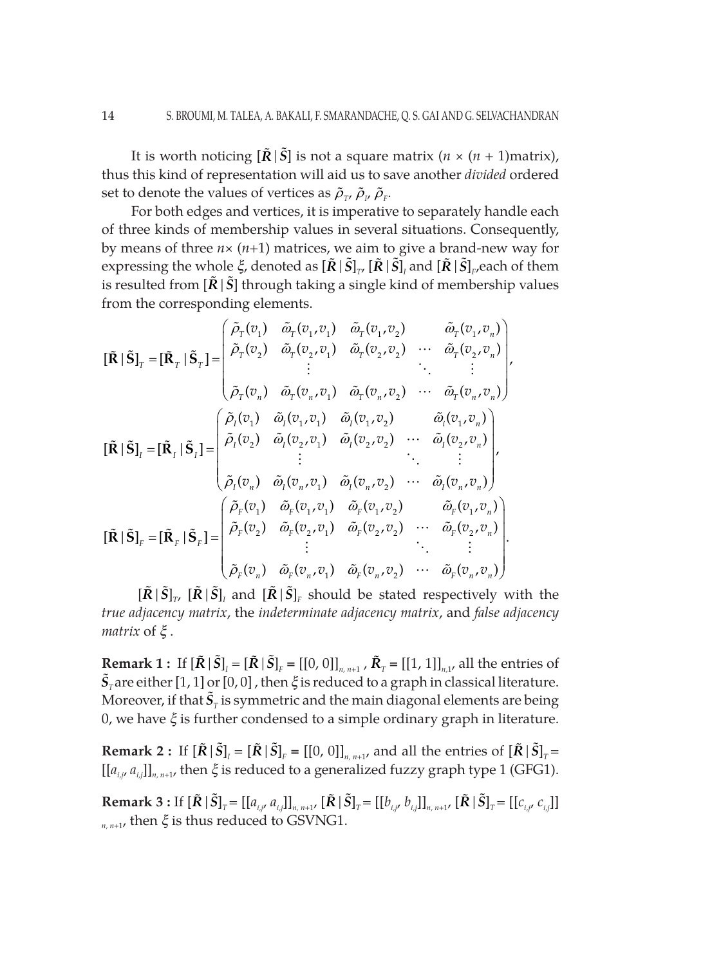It is worth noticing  $[\tilde{R} | \tilde{S}]$  is not a square matrix  $(n \times (n + 1)$ matrix), thus this kind of representation will aid us to save another *divided* ordered set to denote the values of vertices as  $\tilde{\rho}_{_{\rm T'}}\,\tilde{\rho}_{_{\rm P}}$ 

For both edges and vertices, it is imperative to separately handle each of three kinds of membership values in several situations. Consequently, by means of three *n*× (*n+*1) matrices, we aim to give a brand-new way for expressing the whole  $\xi$ , denoted as  $[\tilde{R}|\tilde{S}]_{_{T'}}[\tilde{R}|\tilde{S}]_{_{I}}$  and  $[\tilde{R}|\tilde{S}]_{_{F}}$ each of them is resulted from  $[\tilde{R}|\tilde{S}]$  through taking a single kind of membership values from the corresponding elements.

$$
\begin{aligned}\n[\tilde{\mathbf{R}} \mid \tilde{\mathbf{S}}]_{\scriptscriptstyle{T}} &= [\tilde{\mathbf{R}}_{\scriptscriptstyle{T}} \mid \tilde{\mathbf{S}}_{\scriptscriptstyle{T}}] = \n\begin{pmatrix}\n\tilde{\rho}_{\scriptscriptstyle{T}}(v_1) & \tilde{\omega}_{\scriptscriptstyle{T}}(v_1, v_1) & \tilde{\omega}_{\scriptscriptstyle{T}}(v_1, v_2) & \tilde{\omega}_{\scriptscriptstyle{T}}(v_1, v_n) \\
\tilde{\rho}_{\scriptscriptstyle{T}}(v_2) & \tilde{\omega}_{\scriptscriptstyle{T}}(v_2, v_1) & \tilde{\omega}_{\scriptscriptstyle{T}}(v_2, v_2) & \cdots & \tilde{\omega}_{\scriptscriptstyle{T}}(v_2, v_n) \\
\vdots & \ddots & \vdots & \vdots \\
\tilde{\rho}_{\scriptscriptstyle{T}}(v_n) & \tilde{\omega}_{\scriptscriptstyle{T}}(v_n, v_1) & \tilde{\omega}_{\scriptscriptstyle{T}}(v_n, v_2) & \cdots & \tilde{\omega}_{\scriptscriptstyle{T}}(v_n, v_n)\n\end{pmatrix}\n\end{aligned}
$$
\n
$$
\begin{bmatrix}\n\tilde{\mathbf{R}} \mid \tilde{\mathbf{S}}\n\end{bmatrix}_{\scriptscriptstyle{I}} = \n\begin{bmatrix}\n\tilde{\mathbf{R}}_{\scriptscriptstyle{I}} \mid \tilde{\mathbf{S}}_{\scriptscriptstyle{I}}\n\end{bmatrix} =\n\begin{bmatrix}\n\tilde{\rho}_{\scriptscriptstyle{I}}(v_1) & \tilde{\omega}_{\scriptscriptstyle{I}}(v_1, v_1) & \tilde{\omega}_{\scriptscriptstyle{T}}(v_1, v_2) & \cdots & \tilde{\omega}_{\scriptscriptstyle{T}}(v_1, v_n) \\
\tilde{\rho}_{\scriptscriptstyle{I}}(v_2) & \tilde{\omega}_{\scriptscriptstyle{I}}(v_2, v_1) & \tilde{\omega}_{\scriptscriptstyle{I}}(v_2, v_2) & \cdots & \tilde{\omega}_{\scriptscriptstyle{T}}(v_2, v_n)\n\end{pmatrix}, \\
[\tilde{\mathbf{R}} \mid \tilde{\mathbf{S}}\n\end{bmatrix}_{\scriptscriptstyle{F}} = \n\begin{bmatrix}\n\tilde{\mathbf{
$$

 $[\tilde{R}|\tilde{S}]_{T}$ ,  $[\tilde{R}|\tilde{S}]_{T}$  and  $[\tilde{R}|\tilde{S}]_{F}$  should be stated respectively with the *true adjacency matrix*, the *indeterminate adjacency matrix*, and *false adjacency matrix* of  $\xi$ .

**Remark 1 :** If  $[\tilde{R} | \tilde{S}]_I = [\tilde{R} | \tilde{S}]_F = [[0, 0]]_{n, n+1}$ ,  $\tilde{R}_T = [[1, 1]]_{n,1}$ , all the entries of  $\tilde{S}_T$ are either [1, 1] or [0, 0] , then  $\xi$  is reduced to a graph in classical literature. Moreover, if that  $\tilde{\bm{S}}_{\tau}$  is symmetric and the main diagonal elements are being 0, we have  $\xi$  is further condensed to a simple ordinary graph in literature.

**Remark 2 :** If  $[\tilde{R} | \tilde{S}]_I = [\tilde{R} | \tilde{S}]_F = [[0, 0]]_{n, n+1}$ , and all the entries of  $[\tilde{R} | \tilde{S}]_T =$  $[[a_{i,j}, a_{i,j}]]_{n,n+1}$ , then  $\xi$  is reduced to a generalized fuzzy graph type 1 (GFG1).

**Remark 3 :** If  $[\tilde{R} | \tilde{S}]_T = [[a_{i,j}, a_{i,j}]]_{n, n+1}$ ,  $[\tilde{R} | \tilde{S}]_T = [[b_{i,j}, b_{i,j}]]_{n, n+1}$ ,  $[\tilde{R} | \tilde{S}]_T = [[c_{i,j}, c_{i,j}]]$  $_{n,n+1}$ , then  $\xi$  is thus reduced to GSVNG1.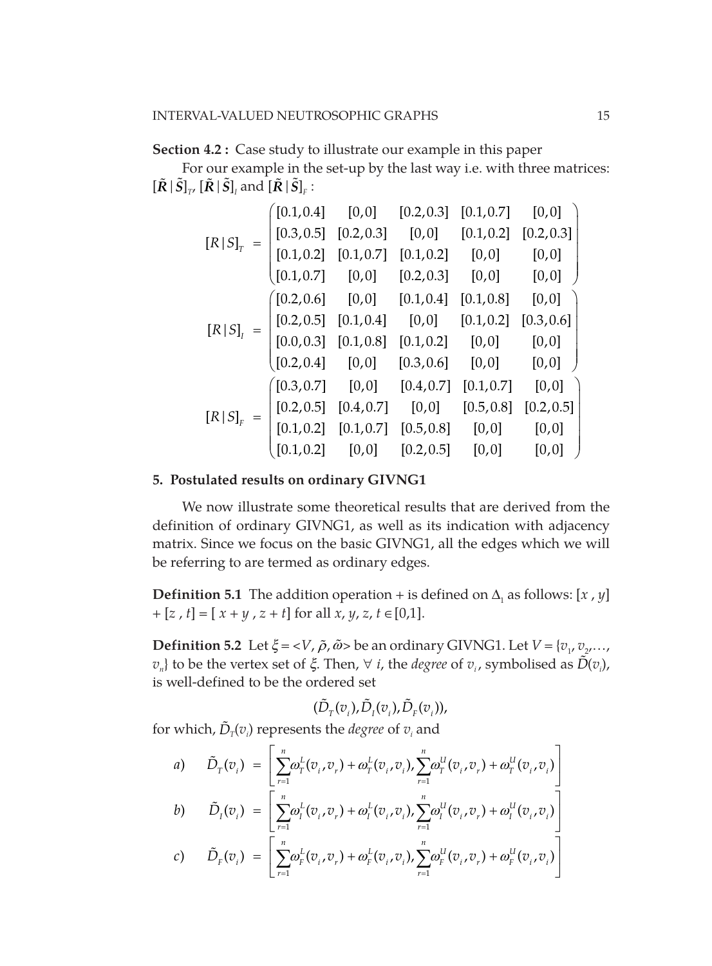# **Section 4.2 :** Case study to illustrate our example in this paper

For our example in the set-up by the last way i.e. with three matrices:  $[\![\tilde{R} \,|\, \tilde{S} ]\!]_{\scriptscriptstyle T'}\, [\![\tilde{R} \,|\, \tilde{S} ]\!]_{\scriptscriptstyle I}$  and  $[\![\tilde{R} \,|\, \tilde{S} ]\!]_{\scriptscriptstyle F}$  :

|               | [0.1, 0.4]                                            | [0, 0]     | [0.2, 0.3]             | [0.1, 0.7] | [0,0]      |
|---------------|-------------------------------------------------------|------------|------------------------|------------|------------|
|               | [0.3, 0.5]                                            | [0.2, 0.3] | [0,0]                  | [0.1, 0.2] | [0.2, 0.3] |
| $[R S]_T$     | [0.1, 0.2]                                            | [0.1, 0.7] | [0.1, 0.2]             | [0, 0]     | [0,0]      |
|               | (0.1, 0.7]                                            |            | $[0,0]$ $[0.2,0.3]$    | [0,0]      | [0,0]      |
|               | $($ [0.2,0.6]                                         | [0,0]      | [0.1, 0.4]             | [0.1, 0.8] | [0,0]      |
|               | $\begin{bmatrix} 0.2, 0.5 \end{bmatrix}$ $[0.1, 0.4]$ |            | [0,0]                  | [0.1, 0.2] | [0.3, 0.6] |
| $[R   S]_i$   | [0.0, 0.3]                                            | [0.1, 0.8] | $\left[0.1,0.2\right]$ | [0,0]      | [0,0]      |
|               | (0.2, 0.4]                                            |            | $[0,0]$ $[0.3,0.6]$    | [0,0]      | [0,0]      |
|               | (0.3, 0.7]                                            | [0,0]      | [0.4, 0.7]             | [0.1, 0.7] | [0, 0]     |
|               | $\begin{bmatrix} 0.2, 0.5 \end{bmatrix}$ $[0.4, 0.7]$ |            | [0, 0]                 | [0.5, 0.8] | [0.2, 0.5] |
| $[R\, \,S]_F$ | [0.1, 0.2]                                            | [0.1, 0.7] | [0.5, 0.8]             | [0,0]      | [0,0]      |
|               | (0.1, 0.2]                                            | [0,0]      | [0.2, 0.5]             | [0,0]      | [0, 0]     |

## **5. Postulated results on ordinary GIVNG1**

We now illustrate some theoretical results that are derived from the definition of ordinary GIVNG1, as well as its indication with adjacency matrix. Since we focus on the basic GIVNG1, all the edges which we will be referring to are termed as ordinary edges.

**Definition 5.1** The addition operation + is defined on  $\Delta_1$  as follows: [*x*, *y*]  $+[z, t] = [x + y, z + t]$  for all  $x, y, z, t \in [0,1].$ 

**Definition 5.2** Let  $\xi = \langle V, \tilde{\rho}, \tilde{\omega} \rangle$  be an ordinary GIVNG1. Let  $V = \{v_1, v_2, \ldots, v_m\}$ *v*<sub>n</sub>} to be the vertex set of  $\xi$ . Then, ∀ *i*, the *degree* of *v*<sub>*i*</sub>, symbolised as  $\tilde{D}(v_i)$ , is well-defined to be the ordered set

$$
(\tilde{D}_{T}(v_i), \tilde{D}_{I}(v_i), \tilde{D}_{F}(v_i)),
$$

for which,  $\tilde{D}_T(v_i)$  represents the *degree* of  $v_i$  and

a) 
$$
\tilde{D}_T(v_i) = \left[ \sum_{r=1}^n \omega_T^L(v_i, v_r) + \omega_T^L(v_i, v_i), \sum_{r=1}^n \omega_T^U(v_i, v_r) + \omega_T^U(v_i, v_i) \right]
$$

$$
b) \qquad \tilde{D}_{I}(v_{i}) = \left[ \sum_{r=1}^{\infty} \omega_{I}^{L}(v_{i}, v_{r}) + \omega_{I}^{L}(v_{i}, v_{i}), \sum_{r=1}^{\infty} \omega_{I}^{U}(v_{i}, v_{r}) + \omega_{I}^{U}(v_{i}, v_{i}) \right]
$$

$$
c) \qquad \tilde{D}_F(v_i) = \left[ \sum_{r=1}^n \omega_F^L(v_i, v_r) + \omega_F^L(v_i, v_i), \sum_{r=1}^n \omega_F^U(v_i, v_r) + \omega_F^U(v_i, v_i) \right]
$$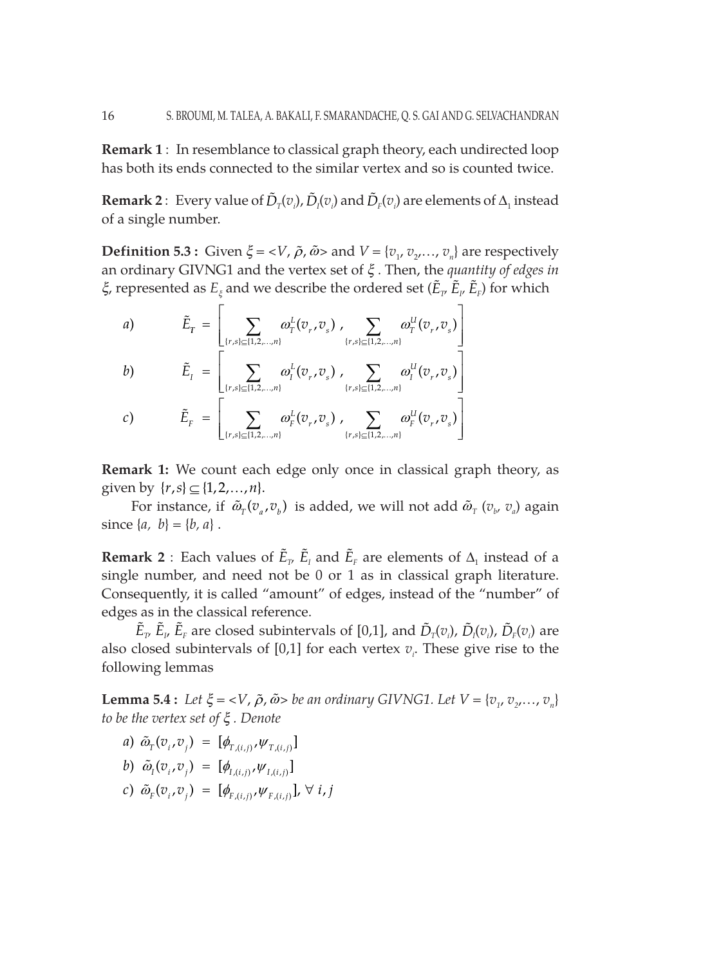**Remark 1** : In resemblance to classical graph theory, each undirected loop has both its ends connected to the similar vertex and so is counted twice.

**Remark 2** : Every value of  $\tilde{D}_T(v_i)$ ,  $\tilde{D}_I(v_i)$  and  $\tilde{D}_F(v_i)$  are elements of  $\Delta_1$  instead of a single number.

**Definition 5.3 :** Given  $\xi = \langle V, \tilde{\rho}, \tilde{\omega} \rangle$  and  $V = \{v_1, v_2, \dots, v_n\}$  are respectively an ordinary GIVNG1 and the vertex set of *x* . Then, the *quantity of edges in*   $\zeta$ , represented as  $E_\xi$  and we describe the ordered set  $(\tilde E_{_{T'}}\,\tilde E_{_{F}})$  for which

a)  
\n
$$
\tilde{E}_{T} = \left[ \sum_{\{r,s\} \subseteq \{1,2,...,n\}} \omega_{T}^{L}(v_{r}, v_{s}), \sum_{\{r,s\} \subseteq \{1,2,...,n\}} \omega_{T}^{U}(v_{r}, v_{s}) \right]
$$
\nb)  
\n
$$
\tilde{E}_{I} = \left[ \sum_{\{r,s\} \subseteq \{1,2,...,n\}} \omega_{I}^{L}(v_{r}, v_{s}), \sum_{\{r,s\} \subseteq \{1,2,...,n\}} \omega_{I}^{U}(v_{r}, v_{s}) \right]
$$
\nc)  
\n
$$
\tilde{E}_{F} = \left[ \sum_{\{r,s\} \subseteq \{1,2,...,n\}} \omega_{F}^{L}(v_{r}, v_{s}), \sum_{\{r,s\} \subseteq \{1,2,...,n\}} \omega_{F}^{U}(v_{r}, v_{s}) \right]
$$

**Remark 1:** We count each edge only once in classical graph theory, as given by  $\{r, s\} \subseteq \{1, 2, ..., n\}.$ 

For instance, if  $\tilde{\omega}_{T}(v_{a}, v_{b})$  is added, we will not add  $\tilde{\omega}_{T}(v_{b}, v_{a})$  again since  $\{a, b\} = \{b, a\}$ .

**Remark 2** : Each values of  $\tilde{E}_{T}$   $\tilde{E}_{T}$  and  $\tilde{E}_{F}$  are elements of  $\Delta_{1}$  instead of a single number, and need not be 0 or 1 as in classical graph literature. Consequently, it is called "amount" of edges, instead of the "number" of edges as in the classical reference.

 $\tilde{E}_{\nu}$ ,  $\tilde{E}_{\nu}$   $\tilde{E}_{F}$  are closed subintervals of [0,1], and  $\tilde{D}_{T}(v_i)$ ,  $\tilde{D}_{I}(v_i)$ ,  $\tilde{D}_{F}(v_i)$  are also closed subintervals of  $[0,1]$  for each vertex  $v_i$ . These give rise to the following lemmas

**Lemma 5.4 :** Let  $\xi = \langle V, \tilde{\rho}, \tilde{\omega} \rangle$  be an ordinary GIVNG1. Let  $V = \{v_1, v_2, \ldots, v_n\}$ *to be the vertex set of x . Denote*

*a*)  $\tilde{\omega}_{T}(v_i, v_j) = [\phi_{T,(i,j)}, \psi_{T,(i,j)}]$ 

$$
b) \ \tilde{\omega}_I(v_{i}, v_{j}) = [\phi_{I,(i,j)}, \psi_{I,(i,j)}]
$$

c)  $\tilde{\omega}_{F}(\overline{v}_{i}, \overline{v}_{j}) = [\phi_{F,(i,j)}, \psi_{F,(i,j)}], \forall i, j$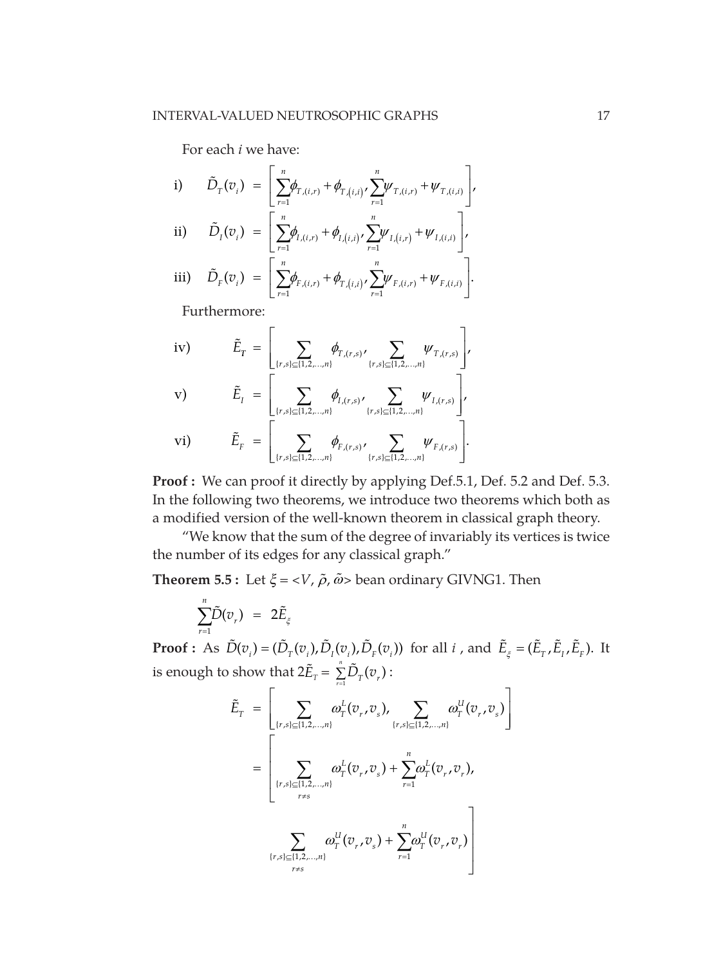For each *i* we have:

$$
\begin{array}{lll} \text{i)} & \tilde{D}_{T}(v_{i}) & = \left[ \sum_{r=1}^{n} \phi_{T,(i,r)} + \phi_{T,(i,i)} \right] \sum_{r=1}^{n} \psi_{T,(i,r)} + \psi_{T,(i,i)} \right], \\ \text{ii)} & \tilde{D}_{I}(v_{i}) & = \left[ \sum_{r=1}^{n} \phi_{I,(i,r)} + \phi_{I,(i,i)} \sum_{r=1}^{n} \psi_{I,(i,r)} + \psi_{I,(i,i)} \right], \\ \text{iii)} & \tilde{D}_{F}(v_{i}) & = \left[ \sum_{r=1}^{n} \phi_{F,(i,r)} + \phi_{T,(i,i)} \sum_{r=1}^{n} \psi_{F,(i,r)} + \psi_{F,(i,i)} \right]. \end{array}
$$

Furthermore:

iv) 
$$
\tilde{E}_{T} = \left[ \sum_{\{r,s\} \subseteq \{1,2,...,n\}} \phi_{T,(r,s)}, \sum_{\{r,s\} \subseteq \{1,2,...,n\}} \psi_{T,(r,s)} \right],
$$
  
\nvi) 
$$
\tilde{E}_{T} = \left[ \sum_{\{r,s\} \subseteq \{1,2,...,n\}} \phi_{T,(r,s)}, \sum_{\{r,s\} \subseteq \{1,2,...,n\}} \psi_{T,(r,s)} \right],
$$
  
\nvi) 
$$
\tilde{E}_{F} = \left[ \sum_{\{r,s\} \subseteq \{1,2,...,n\}} \phi_{F,(r,s)}, \sum_{\{r,s\} \subseteq \{1,2,...,n\}} \psi_{F,(r,s)} \right].
$$

**Proof :** We can proof it directly by applying Def.5.1, Def. 5.2 and Def. 5.3. In the following two theorems, we introduce two theorems which both as a modified version of the well-known theorem in classical graph theory.

"We know that the sum of the degree of invariably its vertices is twice the number of its edges for any classical graph."

**Theorem 5.5:** Let  $\xi = \langle V, \tilde{\rho}, \tilde{\omega} \rangle$  bean ordinary GIVNG1. Then

$$
\sum_{r=1}^n \tilde{D}(v_r) = 2 \tilde{E}_{\xi}
$$

**Proof :** As  $\tilde{D}(v_i) = (\tilde{D}_T(v_i), \tilde{D}_I(v_i), \tilde{D}_F(v_i))$  for all *i*, and  $\tilde{E}_{\xi} = (\tilde{E}_T, \tilde{E}_I, \tilde{E}_F)$ . It is enough to show that  $2\tilde{E}_{T} = \sum_{r=1}^{n} \tilde{D}_{T}(v_{r})$ :

$$
\tilde{E}_{T} = \left[ \sum_{\substack{(r,s) \in \{1,2,\ldots,n\} \\ (r,s) \in \{1,2,\ldots,n\} \\ r \neq s}} \omega_{T}^{L}(v_{r}, v_{s}), \sum_{\substack{(r,s) \in \{1,2,\ldots,n\} \\ (r,s) \in \{1,2,\ldots,n\} \\ r \neq s}} \omega_{T}^{L}(v_{r}, v_{s}) + \sum_{r=1}^{n} \omega_{T}^{L}(v_{r}, v_{r}), \sum_{\substack{(r,s) \in \{1,2,\ldots,n\} \\ (r,s) \in \{1,2,\ldots,n\} \\ r \neq s}} \omega_{T}^{U}(v_{r}, v_{s}) + \sum_{r=1}^{n} \omega_{T}^{U}(v_{r}, v_{r}) \right]
$$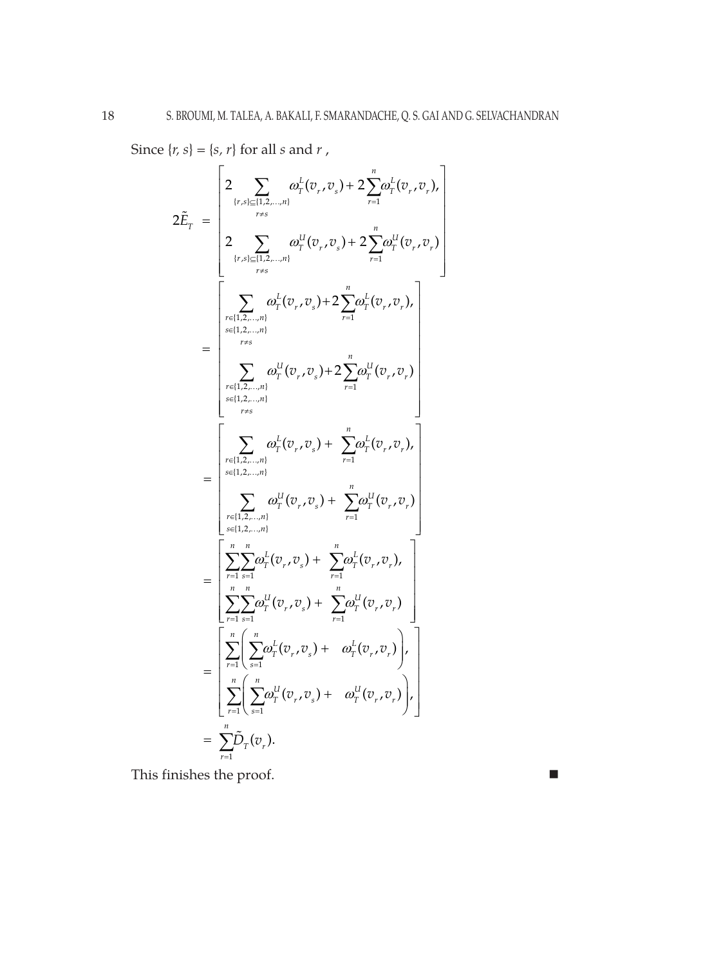Since  $\{r, s\} = \{s, r\}$  for all *s* and *r*,

$$
2\tilde{E}_{T} = \begin{bmatrix} 2 & \sum_{\{r,s\} \subseteq \{1,2,\ldots,n\}} a_{T}^{L}(v_{r},v_{s}) + 2 \sum_{r=1}^{n} a_{T}^{L}(v_{r},v_{r}), \\ 2 & \sum_{\{r,s\} \subseteq \{1,2,\ldots,n\}} a_{T}^{U}(v_{r},v_{s}) + 2 \sum_{r=1}^{n} a_{T}^{U}(v_{r},v_{r}) \\ 2 & \sum_{\{r,s\} \subseteq \{1,2,\ldots,n\}} a_{T}^{U}(v_{r},v_{s}) + 2 \sum_{r=1}^{n} a_{T}^{U}(v_{r},v_{r}), \\ \sum_{\{r\} \subseteq \{1,2,\ldots,n\}} a_{T}^{U}(v_{r},v_{s}) + 2 \sum_{r=1}^{n} a_{T}^{U}(v_{r},v_{r}) \\ \sum_{\{r\} \subseteq \{1,2,\ldots,n\}} a_{T}^{U}(v_{r},v_{s}) + 2 \sum_{r=1}^{n} a_{T}^{U}(v_{r},v_{r}) \\ \sum_{\{r\} \subseteq \{1,2,\ldots,n\}} a_{T}^{U}(v_{r},v_{s}) + \sum_{r=1}^{n} a_{T}^{L}(v_{r},v_{r}), \\ \sum_{\{r\} \subseteq \{1,2,\ldots,n\}} a_{T}^{U}(v_{r},v_{s}) + \sum_{r=1}^{n} a_{T}^{U}(v_{r},v_{r}) \\ \sum_{\{r=1\}} a_{T}^{U}(v_{r},v_{s}) + \sum_{r=1}^{n} a_{T}^{U}(v_{r},v_{r}) \\ \sum_{\{r=1\}} \sum_{s=1}^{n} a_{T}^{U}(v_{r},v_{s}) + \sum_{r=1}^{n} a_{T}^{U}(v_{r},v_{r}) \\ \sum_{\{r=1\}} \sum_{s=1}^{n} a_{T}^{U}(v_{r},v_{s}) + a_{T}^{U}(v_{r},v_{r}) \\ \sum_{\{r=1\}} \sum_{s=1}^{n} \sum_{r=1}^{n} \left( \sum_{s=1}^{n} a_{T}^{U}(v_{r},v_{s}) + a_{T}^{U}(v_{r},v_{r}) \right), \\ = \sum_{\{r=1\}} \sum_{r=1}^{n} \tilde{D}_{T}(v
$$

This finishes the proof.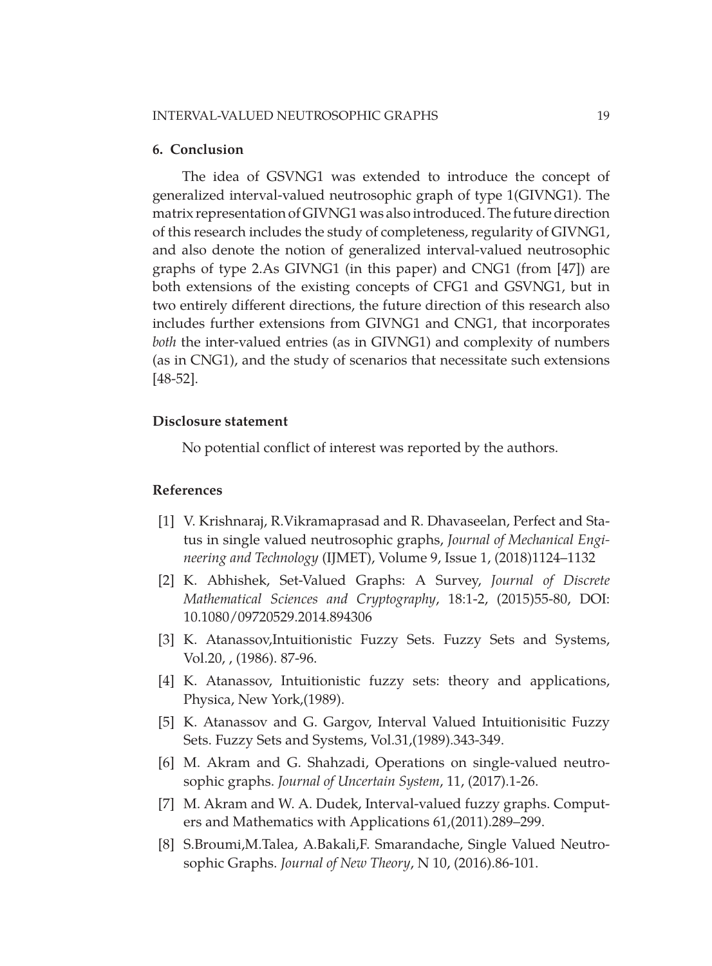#### **6. Conclusion**

The idea of GSVNG1 was extended to introduce the concept of generalized interval-valued neutrosophic graph of type 1(GIVNG1). The matrix representation of GIVNG1 was also introduced. The future direction of this research includes the study of completeness, regularity of GIVNG1, and also denote the notion of generalized interval-valued neutrosophic graphs of type 2.As GIVNG1 (in this paper) and CNG1 (from [47]) are both extensions of the existing concepts of CFG1 and GSVNG1, but in two entirely different directions, the future direction of this research also includes further extensions from GIVNG1 and CNG1, that incorporates *both* the inter-valued entries (as in GIVNG1) and complexity of numbers (as in CNG1), and the study of scenarios that necessitate such extensions [48-52].

# **Disclosure statement**

No potential conflict of interest was reported by the authors.

## **References**

- [1] V. Krishnaraj, R.Vikramaprasad and R. Dhavaseelan, Perfect and Status in single valued neutrosophic graphs, *Journal of Mechanical Engineering and Technology* (IJMET), Volume 9, Issue 1, (2018)1124–1132
- [2] K. Abhishek, Set-Valued Graphs: A Survey, *Journal of Discrete Mathematical Sciences and Cryptography*, 18:1-2, (2015)55-80, DOI: 10.1080/09720529.2014.894306
- [3] K. Atanassov, Intuitionistic Fuzzy Sets. Fuzzy Sets and Systems, Vol.20, , (1986). 87-96.
- [4] K. Atanassov, Intuitionistic fuzzy sets: theory and applications, Physica, New York,(1989).
- [5] K. Atanassov and G. Gargov, Interval Valued Intuitionisitic Fuzzy Sets. Fuzzy Sets and Systems, Vol.31,(1989).343-349.
- [6] M. Akram and G. Shahzadi, Operations on single-valued neutrosophic graphs. *Journal of Uncertain System*, 11, (2017).1-26.
- [7] M. Akram and W. A. Dudek, Interval-valued fuzzy graphs. Computers and Mathematics with Applications 61,(2011).289–299.
- [8] S.Broumi,M.Talea, A.Bakali,F. Smarandache, Single Valued Neutrosophic Graphs. *Journal of New Theory*, N 10, (2016).86-101.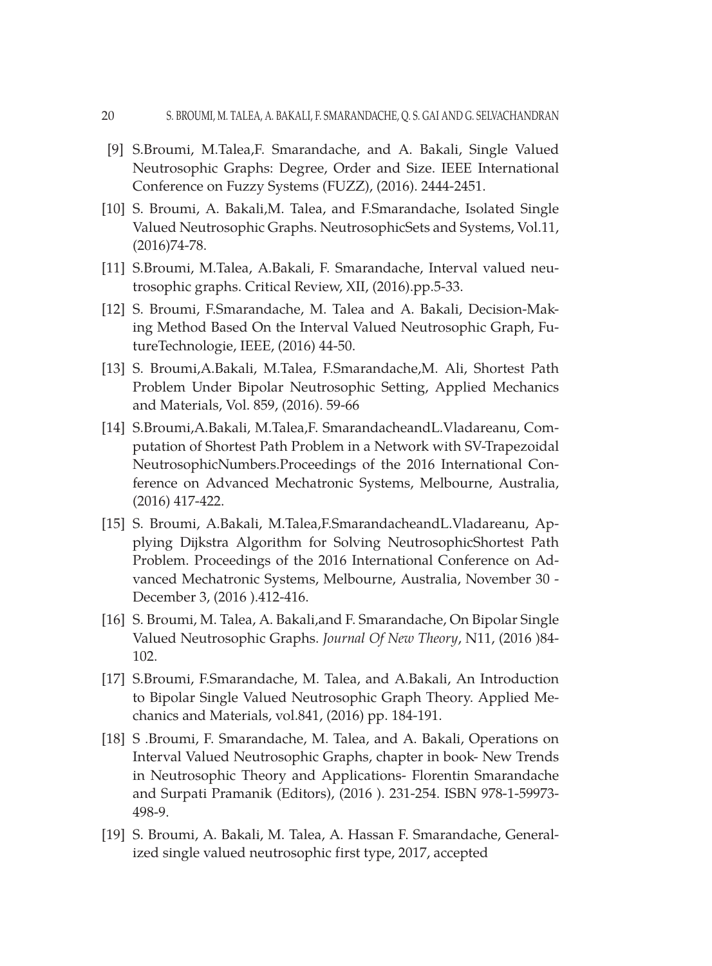- [9] S.Broumi, M.Talea,F. Smarandache, and A. Bakali, Single Valued Neutrosophic Graphs: Degree, Order and Size. IEEE International Conference on Fuzzy Systems (FUZZ), (2016). 2444-2451.
- [10] S. Broumi, A. Bakali,M. Talea, and F.Smarandache, Isolated Single Valued Neutrosophic Graphs. NeutrosophicSets and Systems, Vol.11, (2016)74-78.
- [11] S.Broumi, M.Talea, A.Bakali, F. Smarandache, Interval valued neutrosophic graphs. Critical Review, XII, (2016).pp.5-33.
- [12] S. Broumi, F.Smarandache, M. Talea and A. Bakali, Decision-Making Method Based On the Interval Valued Neutrosophic Graph, FutureTechnologie, IEEE, (2016) 44-50.
- [13] S. Broumi,A.Bakali, M.Talea, F.Smarandache,M. Ali, Shortest Path Problem Under Bipolar Neutrosophic Setting, Applied Mechanics and Materials, Vol. 859, (2016). 59-66
- [14] S.Broumi,A.Bakali, M.Talea,F. SmarandacheandL.Vladareanu, Computation of Shortest Path Problem in a Network with SV-Trapezoidal NeutrosophicNumbers.Proceedings of the 2016 International Conference on Advanced Mechatronic Systems, Melbourne, Australia, (2016) 417-422.
- [15] S. Broumi, A.Bakali, M.Talea,F.SmarandacheandL.Vladareanu, Applying Dijkstra Algorithm for Solving NeutrosophicShortest Path Problem. Proceedings of the 2016 International Conference on Advanced Mechatronic Systems, Melbourne, Australia, November 30 - December 3, (2016 ).412-416.
- [16] S. Broumi, M. Talea, A. Bakali,and F. Smarandache, On Bipolar Single Valued Neutrosophic Graphs. *Journal Of New Theory*, N11, (2016 )84- 102.
- [17] S.Broumi, F.Smarandache, M. Talea, and A.Bakali, An Introduction to Bipolar Single Valued Neutrosophic Graph Theory. Applied Mechanics and Materials, vol.841, (2016) pp. 184-191.
- [18] S .Broumi, F. Smarandache, M. Talea, and A. Bakali, Operations on Interval Valued Neutrosophic Graphs, chapter in book- New Trends in Neutrosophic Theory and Applications- Florentin Smarandache and Surpati Pramanik (Editors), (2016 ). 231-254. ISBN 978-1-59973- 498-9.
- [19] S. Broumi, A. Bakali, M. Talea, A. Hassan F. Smarandache, Generalized single valued neutrosophic first type, 2017, accepted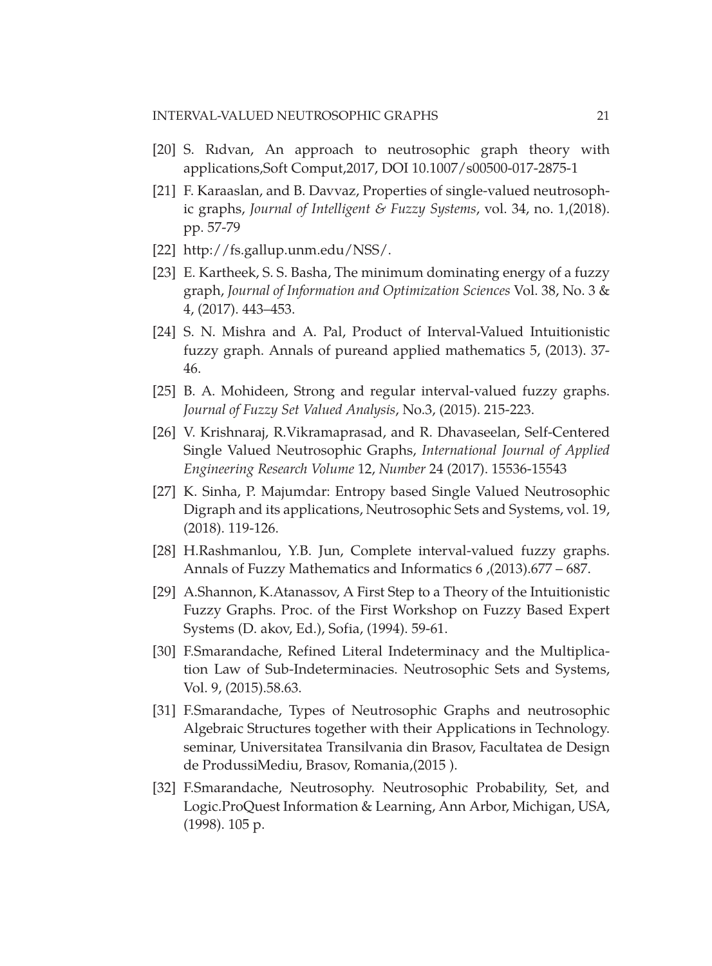- [20] S. Rıdvan, An approach to neutrosophic graph theory with applications,Soft Comput,2017, DOI 10.1007/s00500-017-2875-1
- [21] F. Karaaslan, and B. Davvaz, Properties of single-valued neutrosophic graphs, *Journal of Intelligent & Fuzzy Systems*, vol. 34, no. 1,(2018). pp. 57-79
- [22] [http://fs.gallup.unm.edu/NSS/.](http://fs.gallup.unm.edu/NSS/)
- [23] E. Kartheek, S. S. Basha, The minimum dominating energy of a fuzzy graph, *Journal of Information and Optimization Sciences* Vol. 38, No. 3 & 4, (2017). 443–453.
- [24] S. N. Mishra and A. Pal, Product of Interval-Valued Intuitionistic fuzzy graph. Annals of pureand applied mathematics 5, (2013). 37- 46.
- [25] B. A. Mohideen, Strong and regular interval-valued fuzzy graphs. *Journal of Fuzzy Set Valued Analysis*, No.3, (2015). 215-223.
- [26] V. Krishnaraj, R.Vikramaprasad, and R. Dhavaseelan, Self-Centered Single Valued Neutrosophic Graphs, *International Journal of Applied Engineering Research Volume* 12, *Number* 24 (2017). 15536-15543
- [27] K. Sinha, P. Majumdar: Entropy based Single Valued Neutrosophic Digraph and its applications, Neutrosophic Sets and Systems, vol. 19, (2018). 119-126.
- [28] H.Rashmanlou, Y.B. Jun, Complete interval-valued fuzzy graphs. Annals of Fuzzy Mathematics and Informatics 6 ,(2013).677 – 687.
- [29] A.Shannon, K.Atanassov, A First Step to a Theory of the Intuitionistic Fuzzy Graphs. Proc. of the First Workshop on Fuzzy Based Expert Systems (D. akov, Ed.), Sofia, (1994). 59-61.
- [30] F.Smarandache, Refined Literal Indeterminacy and the Multiplication Law of Sub-Indeterminacies. Neutrosophic Sets and Systems, Vol. 9, (2015).58.63.
- [31] F.Smarandache, Types of Neutrosophic Graphs and neutrosophic Algebraic Structures together with their Applications in Technology. seminar, Universitatea Transilvania din Brasov, Facultatea de Design de ProdussiMediu, Brasov, Romania,(2015 ).
- [32] F.Smarandache, Neutrosophy. Neutrosophic Probability, Set, and Logic.ProQuest Information & Learning, Ann Arbor, Michigan, USA, (1998). 105 p.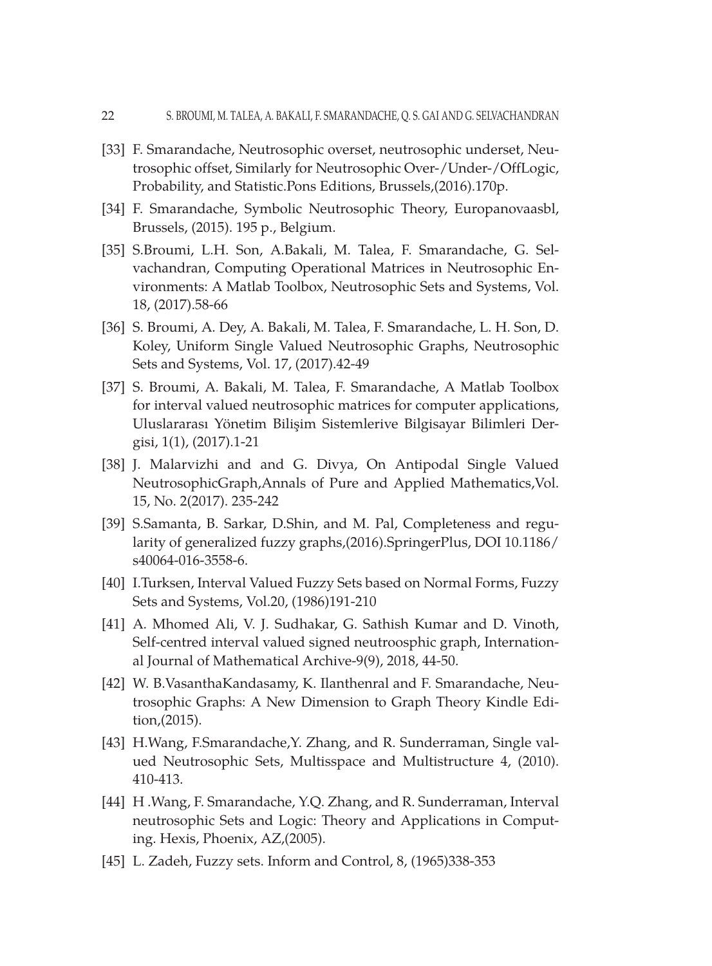- [33] F. Smarandache, Neutrosophic overset, neutrosophic underset, Neutrosophic offset, Similarly for Neutrosophic Over-/Under-/OffLogic, Probability, and Statistic.Pons Editions, Brussels,(2016).170p.
- [34] F. Smarandache, Symbolic Neutrosophic Theory, Europanovaasbl, Brussels, (2015). 195 p., Belgium.
- [35] S.Broumi, L.H. Son, A.Bakali, M. Talea, F. Smarandache, G. Selvachandran, Computing Operational Matrices in Neutrosophic Environments: A Matlab Toolbox, Neutrosophic Sets and Systems, Vol. 18, (2017).58-66
- [36] S. Broumi, A. Dey, A. Bakali, M. Talea, F. Smarandache, L. H. Son, D. Koley, Uniform Single Valued Neutrosophic Graphs, Neutrosophic Sets and Systems, Vol. 17, (2017).42-49
- [37] S. Broumi, A. Bakali, M. Talea, F. Smarandache, A Matlab Toolbox for interval valued neutrosophic matrices for computer applications, Uluslararası Yönetim Bilişim Sistemlerive Bilgisayar Bilimleri Dergisi, 1(1), (2017).1-21
- [38] J. Malarvizhi and and G. Divya, On Antipodal Single Valued NeutrosophicGraph,Annals of Pure and Applied Mathematics,Vol. 15, No. 2(2017). 235-242
- [39] S.Samanta, B. Sarkar, D.Shin, and M. Pal, Completeness and regularity of generalized fuzzy graphs,(2016).SpringerPlus, DOI 10.1186/ s40064-016-3558-6.
- [40] I.Turksen, Interval Valued Fuzzy Sets based on Normal Forms, Fuzzy Sets and Systems, Vol.20, (1986)191-210
- [41] A. Mhomed Ali, V. J. Sudhakar, G. Sathish Kumar and D. Vinoth, Self-centred interval valued signed neutroosphic graph, International Journal of Mathematical Archive-9(9), 2018, 44-50.
- [42] W. B.VasanthaKandasamy, K. Ilanthenral and F. Smarandache, Neutrosophic Graphs: A New Dimension to Graph Theory Kindle Edition,(2015).
- [43] H.Wang, F.Smarandache, Y. Zhang, and R. Sunderraman, Single valued Neutrosophic Sets, Multisspace and Multistructure 4, (2010). 410-413.
- [44] H .Wang, F. Smarandache, Y.Q. Zhang, and R. Sunderraman, Interval neutrosophic Sets and Logic: Theory and Applications in Computing. Hexis, Phoenix, AZ,(2005).
- [45] L. Zadeh, Fuzzy sets. Inform and Control, 8, (1965)338-353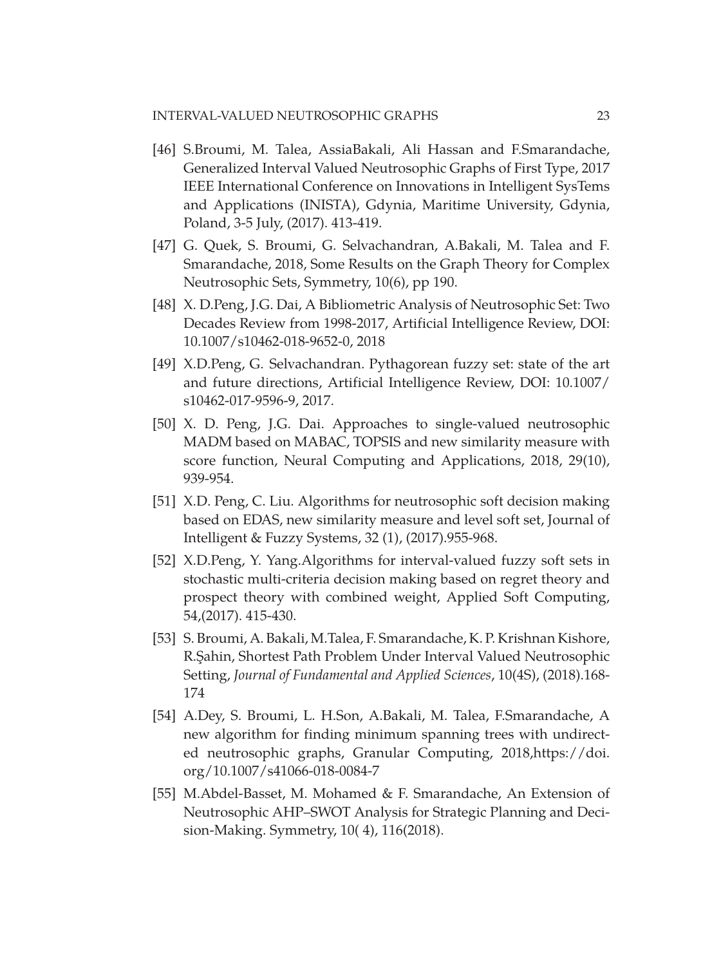- [46] S.Broumi, M. Talea, AssiaBakali, Ali Hassan and F.Smarandache, Generalized Interval Valued Neutrosophic Graphs of First Type, 2017 IEEE International Conference on Innovations in Intelligent SysTems and Applications (INISTA), Gdynia, Maritime University, Gdynia, Poland, 3-5 July, (2017). 413-419.
- [47] G. Quek, S. Broumi, G. Selvachandran, A.Bakali, M. Talea and F. Smarandache, 2018, Some Results on the Graph Theory for Complex Neutrosophic Sets, Symmetry, 10(6), pp 190.
- [48] X. D.Peng, J.G. Dai, A Bibliometric Analysis of Neutrosophic Set: Two Decades Review from 1998-2017, [Artificial Intelligence Review](https://link.springer.com/journal/10462), DOI: 10.1007/s10462-018-9652-0, 2018
- [49] X.D.Peng, G. Selvachandran. Pythagorean fuzzy set: state of the art and future directions, [Artificial Intelligence Review,](https://link.springer.com/journal/10462) DOI: 10.1007/ s10462-017-9596-9, 2017.
- [50] X. D. Peng, J.G. Dai. Approaches to single-valued neutrosophic MADM based on MABAC, TOPSIS and new similarity measure with score function, [Neural Computing and Applications](http://link.springer.com/journal/521), 2018, 29(10), 939-954.
- [51] X.D. Peng, C. Liu. Algorithms for neutrosophic soft decision making based on EDAS, new similarity measure and level soft set, Journal of Intelligent & Fuzzy Systems, 32 (1), (2017).955-968.
- [52] X.D.Peng, Y. Yang[.Algorithms for interval-valued fuzzy soft sets in](https://xue.glgoo.org/citations?view_op=view_citation&hl=zh-CN&user=v4YzzIgAAAAJ&sortby=pubdate&citation_for_view=v4YzzIgAAAAJ:_xSYboBqXhAC)  [stochastic multi-criteria decision making based on regret theory and](https://xue.glgoo.org/citations?view_op=view_citation&hl=zh-CN&user=v4YzzIgAAAAJ&sortby=pubdate&citation_for_view=v4YzzIgAAAAJ:_xSYboBqXhAC) [prospect theory with combined weight](https://xue.glgoo.org/citations?view_op=view_citation&hl=zh-CN&user=v4YzzIgAAAAJ&sortby=pubdate&citation_for_view=v4YzzIgAAAAJ:_xSYboBqXhAC), Applied Soft Computing, 54,(2017). 415-430.
- [53] S. Broumi, A. Bakali, M.Talea, F. Smarandache, K. P. Krishnan Kishore, R.Şahin, Shortest Path Problem Under Interval Valued Neutrosophic Setting, *Journal of Fundamental and Applied Sciences*, 10(4S), (2018).168- 174
- [54] A.Dey, S. Broumi, L. H.Son, A.Bakali, M. Talea, F.Smarandache, A new algorithm for finding minimum spanning trees with undirected neutrosophic graphs, Granular Computing, 2018,https://doi. org/10.1007/s41066-018-0084-7
- [55] M.Abdel-Basset, M. Mohamed & F. Smarandache, An Extension of Neutrosophic AHP–SWOT Analysis for Strategic Planning and Decision-Making. Symmetry, 10( 4), 116(2018).